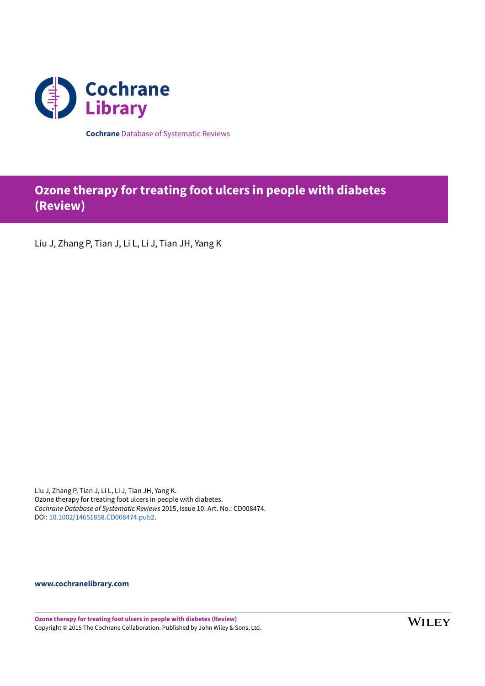

**Cochrane** Database of Systematic Reviews

# **Ozone therapy for treating foot ulcers in people with diabetes (Review)**

Liu J, Zhang P, Tian J, Li L, Li J, Tian JH, Yang K

Liu J, Zhang P, Tian J, Li L, Li J, Tian JH, Yang K. Ozone therapy for treating foot ulcers in people with diabetes. *Cochrane Database of Systematic Reviews* 2015, Issue 10. Art. No.: CD008474. DOI: [10.1002/14651858.CD008474.pub2.](https://doi.org/10.1002/14651858.CD008474.pub2)

**[www.cochranelibrary.com](https://www.cochranelibrary.com)**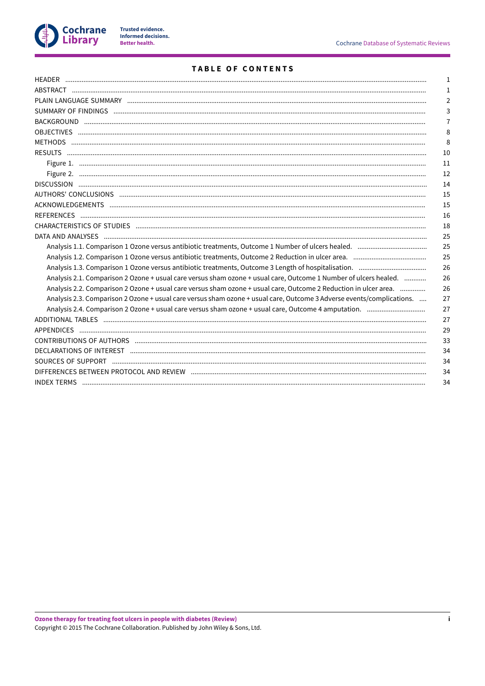

## **TABLE OF CONTENTS**

|                                                                                                                       | $\mathbf{1}$   |
|-----------------------------------------------------------------------------------------------------------------------|----------------|
|                                                                                                                       | 1              |
|                                                                                                                       | $\mathfrak{D}$ |
|                                                                                                                       | 3              |
|                                                                                                                       | $\overline{7}$ |
|                                                                                                                       | 8              |
|                                                                                                                       | 8              |
|                                                                                                                       | 10             |
|                                                                                                                       | 11             |
|                                                                                                                       | 12             |
|                                                                                                                       | 14             |
|                                                                                                                       | 15             |
|                                                                                                                       | 15             |
|                                                                                                                       | 16             |
|                                                                                                                       | 18             |
|                                                                                                                       | 25             |
|                                                                                                                       | 25             |
|                                                                                                                       | 25             |
|                                                                                                                       | 26             |
| Analysis 2.1. Comparison 2 Ozone + usual care versus sham ozone + usual care, Outcome 1 Number of ulcers healed.      | 26             |
| Analysis 2.2. Comparison 2 Ozone + usual care versus sham ozone + usual care, Outcome 2 Reduction in ulcer area.      | 26             |
| Analysis 2.3. Comparison 2 Ozone + usual care versus sham ozone + usual care, Outcome 3 Adverse events/complications. | 27             |
| Analysis 2.4. Comparison 2 Ozone + usual care versus sham ozone + usual care, Outcome 4 amputation.                   | 27             |
|                                                                                                                       | 27             |
|                                                                                                                       | 29             |
|                                                                                                                       | 33             |
|                                                                                                                       | 34             |
|                                                                                                                       | 34             |
|                                                                                                                       | 34             |
|                                                                                                                       | 34             |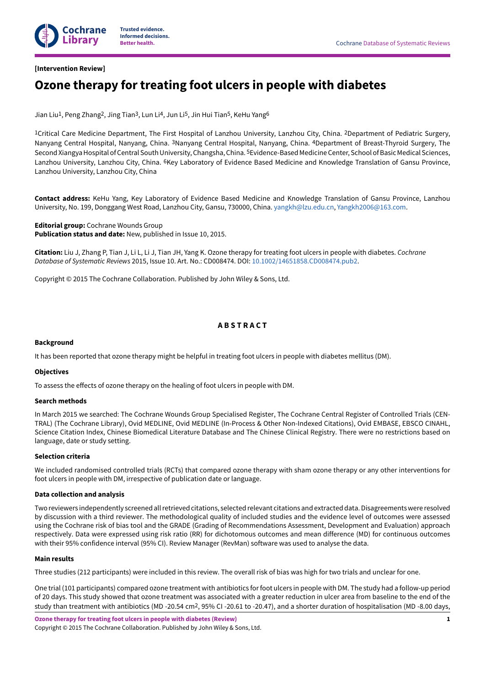

### <span id="page-2-0"></span>**[Intervention Review]**

# **Ozone therapy for treating foot ulcers in people with diabetes**

Jian Liu<sup>1</sup>, Peng Zhang<sup>2</sup>, Jing Tian<sup>3</sup>, Lun Li<sup>4</sup>, Jun Li<sup>5</sup>, Jin Hui Tian<sup>5</sup>, KeHu Yang<sup>6</sup>

<sup>1</sup>Critical Care Medicine Department, The First Hospital of Lanzhou University, Lanzhou City, China. <sup>2</sup>Department of Pediatric Surgery, Nanyang Central Hospital, Nanyang, China. <sup>3</sup>Nanyang Central Hospital, Nanyang, China. <sup>4</sup>Department of Breast-Thyroid Surgery, The Second Xiangya Hospital of Central South University, Changsha, China. <sup>5</sup>Evidence-Based Medicine Center, School of Basic Medical Sciences, Lanzhou University, Lanzhou City, China. <sup>6</sup>Key Laboratory of Evidence Based Medicine and Knowledge Translation of Gansu Province, Lanzhou University, Lanzhou City, China

**Contact address:** KeHu Yang, Key Laboratory of Evidence Based Medicine and Knowledge Translation of Gansu Province, Lanzhou University, No. 199, Donggang West Road, Lanzhou City, Gansu, 730000, China. [yangkh@lzu.edu.cn](mailto:yangkh@lzu.edu.cn), [Yangkh2006@163.com](mailto:Yangkh2006@163.com).

**Editorial group:** Cochrane Wounds Group **Publication status and date:** New, published in Issue 10, 2015.

**Citation:** Liu J, Zhang P, Tian J, Li L, Li J, Tian JH, Yang K. Ozone therapy for treating foot ulcers in people with diabetes. *Cochrane Database of Systematic Reviews* 2015, Issue 10. Art. No.: CD008474. DOI: [10.1002/14651858.CD008474.pub2.](https://doi.org/10.1002/14651858.CD008474.pub2)

Copyright © 2015 The Cochrane Collaboration. Published by John Wiley & Sons, Ltd.

### **A B S T R A C T**

#### <span id="page-2-1"></span>**Background**

It has been reported that ozone therapy might be helpful in treating foot ulcers in people with diabetes mellitus (DM).

#### **Objectives**

To assess the effects of ozone therapy on the healing of foot ulcers in people with DM.

#### **Search methods**

In March 2015 we searched: The Cochrane Wounds Group Specialised Register, The Cochrane Central Register of Controlled Trials (CEN-TRAL) (The Cochrane Library), Ovid MEDLINE, Ovid MEDLINE (In-Process & Other Non-Indexed Citations), Ovid EMBASE, EBSCO CINAHL, Science Citation Index, Chinese Biomedical Literature Database and The Chinese Clinical Registry. There were no restrictions based on language, date or study setting.

### **Selection criteria**

We included randomised controlled trials (RCTs) that compared ozone therapy with sham ozone therapy or any other interventions for foot ulcers in people with DM, irrespective of publication date or language.

#### **Data collection and analysis**

Two reviewers independently screened allretrieved citations, selected relevant citations and extracted data.Disagreementswere resolved by discussion with a third reviewer. The methodological quality of included studies and the evidence level of outcomes were assessed using the Cochrane risk of bias tool and the GRADE (Grading of Recommendations Assessment, Development and Evaluation) approach respectively. Data were expressed using risk ratio (RR) for dichotomous outcomes and mean difference (MD) for continuous outcomes with their 95% confidence interval (95% CI). Review Manager (RevMan) software was used to analyse the data.

### **Main results**

Three studies (212 participants) were included in this review. The overall risk of bias was high for two trials and unclear for one.

One trial (101 participants) compared ozone treatment with antibiotics forfoot ulcers in people with DM. The study had a follow-up period of 20 days. This study showed that ozone treatment was associated with a greater reduction in ulcer area from baseline to the end of the study than treatment with antibiotics (MD -20.54 cm2, 95% CI -20.61 to -20.47), and a shorter duration of hospitalisation (MD -8.00 days,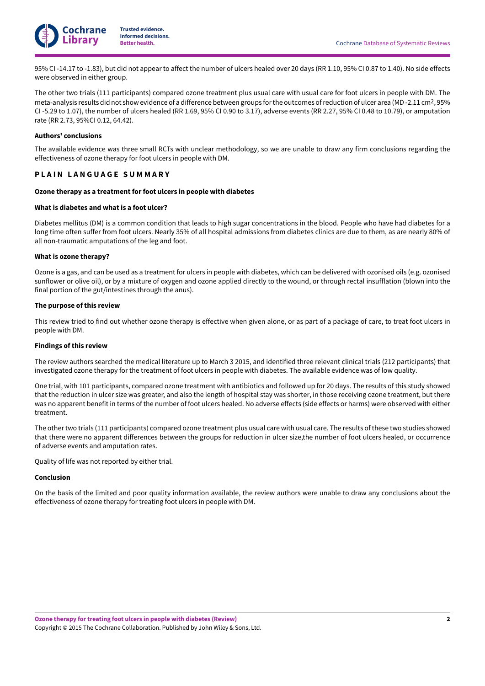

95% CI -14.17 to -1.83), but did not appear to affect the number of ulcers healed over 20 days (RR 1.10, 95% CI 0.87 to 1.40). No side effects were observed in either group.

The other two trials (111 participants) compared ozone treatment plus usual care with usual care for foot ulcers in people with DM. The meta-analysis results did not show evidence of a difference between groups for the outcomes of reduction of ulcer area (MD-2.11 cm<sup>2</sup>, 95% CI -5.29 to 1.07), the number of ulcers healed (RR 1.69, 95% CI 0.90 to 3.17), adverse events (RR 2.27, 95% CI 0.48 to 10.79), or amputation rate (RR 2.73, 95%CI 0.12, 64.42).

#### **Authors' conclusions**

The available evidence was three small RCTs with unclear methodology, so we are unable to draw any firm conclusions regarding the effectiveness of ozone therapy for foot ulcers in people with DM.

### <span id="page-3-0"></span>**P L A I N L A N G U A G E S U M M A R Y**

#### **Ozone therapy as a treatment for foot ulcers in people with diabetes**

#### **What is diabetes and what is a foot ulcer?**

Diabetes mellitus (DM) is a common condition that leads to high sugar concentrations in the blood. People who have had diabetes for a long time often suffer from foot ulcers. Nearly 35% of all hospital admissions from diabetes clinics are due to them, as are nearly 80% of all non-traumatic amputations of the leg and foot.

#### **What is ozone therapy?**

Ozone is a gas, and can be used as a treatment for ulcers in people with diabetes, which can be delivered with ozonised oils (e.g. ozonised sunflower or olive oil), or by a mixture of oxygen and ozone applied directly to the wound, or through rectal insufflation (blown into the final portion of the gut/intestines through the anus).

#### **The purpose of this review**

This review tried to find out whether ozone therapy is effective when given alone, or as part of a package of care, to treat foot ulcers in people with DM.

#### **Findings of this review**

The review authors searched the medical literature up to March 3 2015, and identified three relevant clinical trials (212 participants) that investigated ozone therapy for the treatment of foot ulcers in people with diabetes. The available evidence was of low quality.

One trial, with 101 participants, compared ozone treatment with antibiotics and followed up for 20 days. The results of this study showed that the reduction in ulcer size was greater, and also the length of hospital stay was shorter, in those receiving ozone treatment, but there was no apparent benefit in terms of the number of foot ulcers healed. No adverse effects (side effects or harms) were observed with either treatment.

The othertwo trials (111 participants) compared ozone treatment plus usual care with usual care. The results of these two studies showed that there were no apparent differences between the groups for reduction in ulcer size,the number of foot ulcers healed, or occurrence of adverse events and amputation rates.

Quality of life was not reported by either trial.

#### **Conclusion**

On the basis of the limited and poor quality information available, the review authors were unable to draw any conclusions about the effectiveness of ozone therapy for treating foot ulcers in people with DM.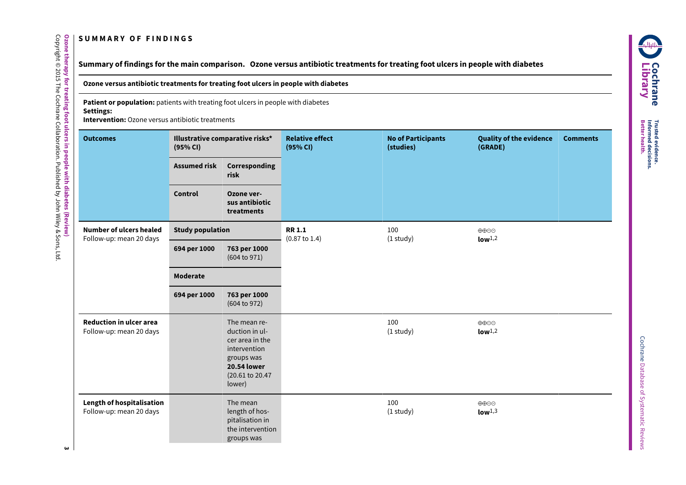### **S U M M A R Y O F F I N D I N G S**

**Ozone**

**therapy**

Copyright © 2015

The

Cochrane

Collaboration.

Published

হ John

Wiley & Sons,

<span id="page-4-1"></span>ltd.<br>E

**for**

**treating**

**foot ulcers in people**

**with**

**diabetes**

<span id="page-4-0"></span>**(Review)**

## Summary of findings for the main comparison. Ozone versus antibiotic treatments for treating foot ulcers in people with diabetes

**Ozone versus antibiotic treatments for treating foot ulcers in people with diabetes**

**Patient or population:** patients with treating foot ulcers in people with diabetes **Settings:**

**Intervention:** Ozone versus antibiotic treatments

| <b>Outcomes</b>                                             | Illustrative comparative risks*<br>(95% CI) |                                                                                                                                     | <b>Relative effect</b><br>(95% CI)       | <b>No of Participants</b><br>(studies) | <b>Quality of the evidence</b><br><b>Comments</b><br>(GRADE) |
|-------------------------------------------------------------|---------------------------------------------|-------------------------------------------------------------------------------------------------------------------------------------|------------------------------------------|----------------------------------------|--------------------------------------------------------------|
|                                                             | <b>Assumed risk</b>                         | Corresponding<br>risk                                                                                                               |                                          |                                        |                                                              |
|                                                             | <b>Control</b>                              | Ozone ver-<br>sus antibiotic<br>treatments                                                                                          |                                          |                                        |                                                              |
| <b>Number of ulcers healed</b><br>Follow-up: mean 20 days   | <b>Study population</b>                     |                                                                                                                                     | <b>RR1.1</b><br>$(0.87 \text{ to } 1.4)$ | 100<br>(1 study)                       | $\oplus \oplus \ominus$<br>low <sup>1,2</sup>                |
|                                                             | 694 per 1000                                | 763 per 1000<br>(604 to 971)                                                                                                        |                                          |                                        |                                                              |
|                                                             | <b>Moderate</b>                             |                                                                                                                                     |                                          |                                        |                                                              |
|                                                             | 694 per 1000                                | 763 per 1000<br>(604 to 972)                                                                                                        |                                          |                                        |                                                              |
| <b>Reduction in ulcer area</b><br>Follow-up: mean 20 days   |                                             | The mean re-<br>duction in ul-<br>cer area in the<br>intervention<br>groups was<br><b>20.54 lower</b><br>(20.61 to 20.47)<br>lower) |                                          | 100<br>$(1$ study)                     | $\oplus \oplus \ominus \ominus$<br>low <sup>1,2</sup>        |
| <b>Length of hospitalisation</b><br>Follow-up: mean 20 days |                                             | The mean<br>length of hos-<br>pitalisation in<br>the intervention<br>groups was                                                     |                                          | 100<br>$(1$ study)                     | $\oplus \oplus \ominus$<br>low <sup>1,3</sup>                |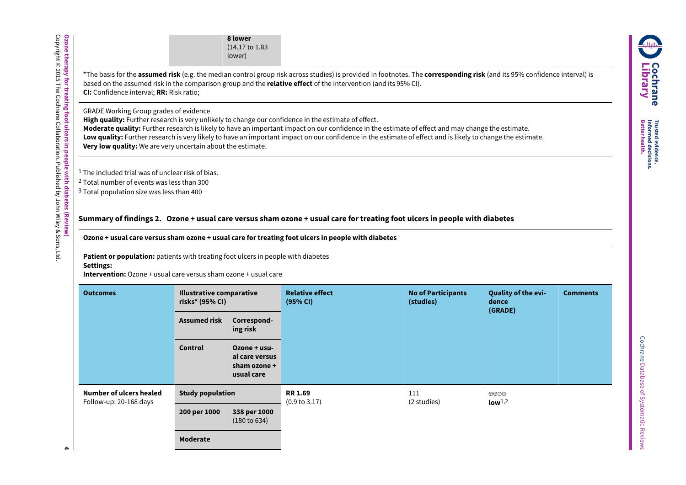\*The basis for the **assumed risk** (e.g. the median control group risk across studies) is provided in footnotes. The **corresponding risk** (and its 95% confidence interval) is based on the assumed risk in the comparison group and the **relative effect** of the intervention (and its 95% CI). **CI:** Confidence interval; **RR:** Risk ratio;

GRADE Working Group grades of evidence

**High quality:** Further research is very unlikely to change our confidence in the estimate of effect.

**Moderate quality:** Further research is likely to have an important impact on our confidence in the estimate of effect and may change the estimate.

**Low quality:** Further research is very likely to have an important impact on our confidence in the estimate of effect and is likely to change the estimate. **Very low quality:** We are very uncertain about the estimate.

1 The included trial was of unclear risk of bias.

2 Total number of events was less than 300

3 Total population size was less than 400

Summary of findings 2. Ozone + usual care versus sham ozone + usual care for treating foot ulcers in people with diabetes

**Ozone + usual care versus sham ozone + usual care for treating foot ulcers in people with diabetes**

**Patient or population:** patients with treating foot ulcers in people with diabetes

**Settings:**

**Intervention:** Ozone + usual care versus sham ozone + usual care

| <b>Outcomes</b>                                          | <b>Illustrative comparative</b><br>risks* (95% CI) |                                                              | <b>Relative effect</b><br>(95% CI)         | <b>No of Participants</b><br>(studies) | <b>Quality of the evi-</b><br>dence<br>(GRADE) | <b>Comments</b> |
|----------------------------------------------------------|----------------------------------------------------|--------------------------------------------------------------|--------------------------------------------|----------------------------------------|------------------------------------------------|-----------------|
|                                                          | <b>Assumed risk</b>                                | Correspond-<br>ing risk                                      |                                            |                                        |                                                |                 |
|                                                          | Control                                            | Ozone + usu-<br>al care versus<br>sham ozone +<br>usual care |                                            |                                        |                                                |                 |
| <b>Number of ulcers healed</b><br>Follow-up: 20-168 days | <b>Study population</b>                            |                                                              | <b>RR 1.69</b><br>$(0.9 \text{ to } 3.17)$ | 111<br>(2 studies)                     | $\oplus \oplus \odot$<br>low <sup>1,2</sup>    |                 |
|                                                          | 200 per 1000                                       | 338 per 1000<br>(180 to 634)                                 |                                            |                                        |                                                |                 |
|                                                          | <b>Moderate</b>                                    |                                                              |                                            |                                        |                                                |                 |

<span id="page-5-0"></span>**4**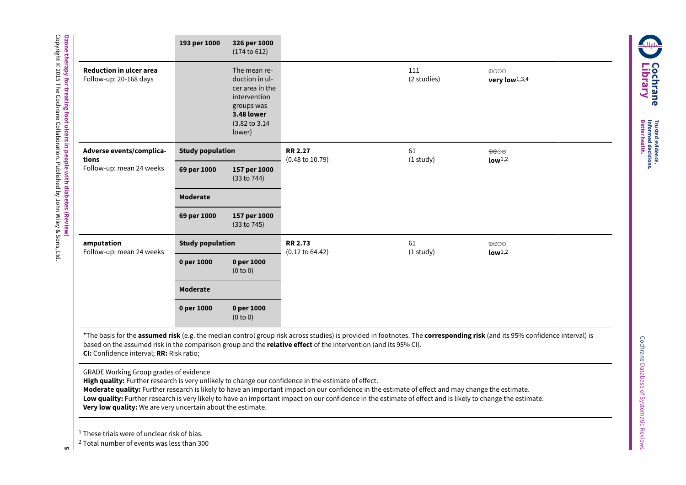|                                                          | 193 per 1000            | 326 per 1000<br>(174 to 612)                                                                                              |                                                                                                                 |                    |                                                                                                                                                                           |
|----------------------------------------------------------|-------------------------|---------------------------------------------------------------------------------------------------------------------------|-----------------------------------------------------------------------------------------------------------------|--------------------|---------------------------------------------------------------------------------------------------------------------------------------------------------------------------|
| <b>Reduction in ulcer area</b><br>Follow-up: 20-168 days |                         | The mean re-<br>duction in ul-<br>cer area in the<br>intervention<br>groups was<br>3.48 lower<br>(3.82 to 3.14)<br>lower) |                                                                                                                 | 111<br>(2 studies) | $\bigoplus$ $\bigodot$ $\bigodot$<br>very low $1,3,4$                                                                                                                     |
| Adverse events/complica-<br>tions                        | <b>Study population</b> |                                                                                                                           | <b>RR 2.27</b><br>$(0.48 \text{ to } 10.79)$                                                                    | 61<br>$(1$ study)  | ⊕⊕⊝⊙<br>low <sup>1,2</sup>                                                                                                                                                |
| Follow-up: mean 24 weeks                                 | 69 per 1000             | 157 per 1000<br>(33 to 744)                                                                                               |                                                                                                                 |                    |                                                                                                                                                                           |
|                                                          | <b>Moderate</b>         |                                                                                                                           |                                                                                                                 |                    |                                                                                                                                                                           |
|                                                          | 69 per 1000             | 157 per 1000<br>(33 to 745)                                                                                               |                                                                                                                 |                    |                                                                                                                                                                           |
| amputation<br>Follow-up: mean 24 weeks                   | <b>Study population</b> |                                                                                                                           | <b>RR 2.73</b><br>$(0.12 \text{ to } 64.42)$                                                                    | 61<br>$(1$ study)  | $\oplus \oplus \ominus \ominus$<br>low <sup>1,2</sup>                                                                                                                     |
|                                                          | 0 per 1000              | 0 per 1000<br>(0 to 0)                                                                                                    |                                                                                                                 |                    |                                                                                                                                                                           |
|                                                          | Moderate                |                                                                                                                           |                                                                                                                 |                    |                                                                                                                                                                           |
|                                                          | 0 per 1000              | 0 per 1000<br>(0 to 0)                                                                                                    |                                                                                                                 |                    |                                                                                                                                                                           |
|                                                          |                         |                                                                                                                           | based on the assumed risk in the comparison group and the relative effect of the intervention (and its 95% CI). |                    | *The basis for the assumed risk (e.g. the median control group risk across studies) is provided in footnotes. The corresponding risk (and its 95% confidence interval) is |

**Very low quality:** We are very uncertain about the estimate.

1 These trials were of unclear risk of bias.

2 Total number of events was less than 300

**5**

Copyright © 2015

The

Cochrane

Collaboration.

Published

হ John

Wiley & Sons,

ltd.<br>E

444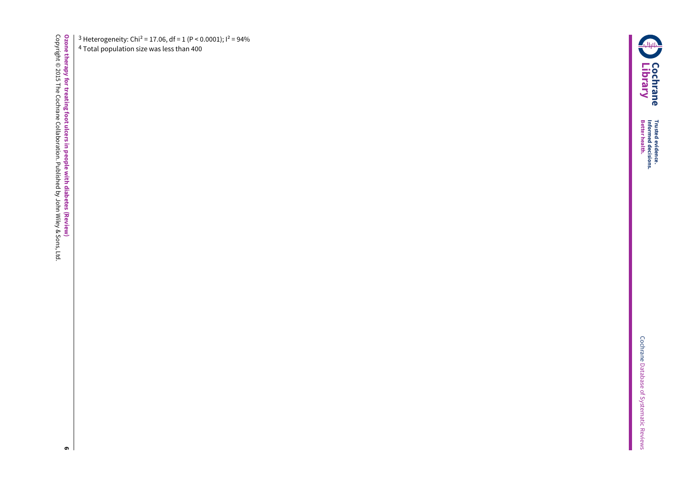<sup>3</sup> Heterogeneity: Chi<sup>2</sup> = 17.06, df = 1 (P < 0.0001);  $1^2$  = 94% 4 Total population size was less than 400

Reviews



**evidence.**

**decisions. health.**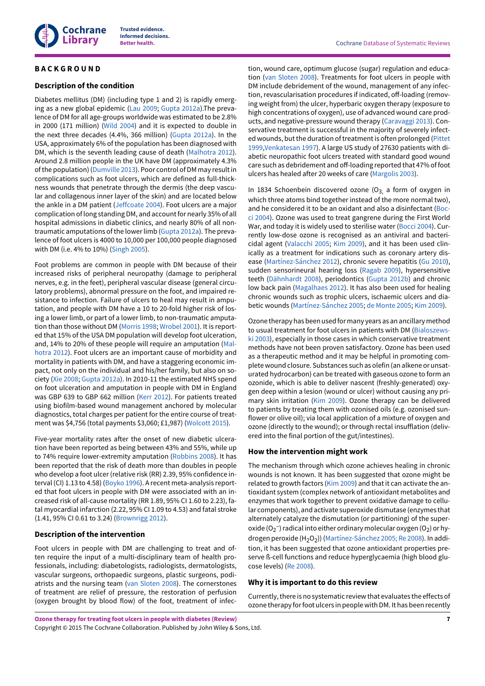

### <span id="page-8-0"></span>**B A C K G R O U N D**

### **Description of the condition**

Diabetes mellitus (DM) (including type 1 and 2) is rapidly emerging as a new global epidemic ([Lau 2009](#page-18-0); [Gupta 2012a\)](#page-18-1).The prevalence of DM for all age-groups worldwide was estimated to be 2.8% in 2000 (171 million) ([Wild 2004](#page-19-1)) and it is expected to double in the next three decades (4.4%, 366 million) ([Gupta 2012a\)](#page-18-1). In the USA, approximately 6% of the population has been diagnosed with DM, which is the seventh leading cause of death [\(Malhotra 2012\)](#page-18-2). Around 2.8 million people in the UK have DM (approximately 4.3% of the population) ([Dumville 2013](#page-18-3)). Poor control of DM may result in complications such as foot ulcers, which are defined as full-thickness wounds that penetrate through the dermis (the deep vascular and collagenous inner layer of the skin) and are located below the ankle in a DM patient ([Jeffcoate 2004\)](#page-18-4). Foot ulcers are a major complication of long standingDM, and accountfor nearly 35% of all hospital admissions in diabetic clinics, and nearly 80% of all nontraumatic amputations of the lower limb [\(Gupta 2012a](#page-18-1)). The prevalence of foot ulcers is 4000 to 10,000 per 100,000 people diagnosed with DM (i.e. 4% to 10%) [\(Singh 2005](#page-19-2)).

Foot problems are common in people with DM because of their increased risks of peripheral neuropathy (damage to peripheral nerves, e.g. in the feet), peripheral vascular disease (general circulatory problems), abnormal pressure on the foot, and impaired resistance to infection. Failure of ulcers to heal may result in amputation, and people with DM have a 10 to 20-fold higher risk of losing a lower limb, or part of a lower limb, to non-traumatic amputation than those without DM ([Morris 1998](#page-18-5); [Wrobel 2001\)](#page-19-3). It is reported that 15% of the USA DM population will develop foot ulceration, and, 14% to 20% of these people will require an amputation [\(Mal](#page-18-2)[hotra 2012](#page-18-2)). Foot ulcers are an important cause of morbidity and mortality in patients with DM, and have a staggering economic impact, not only on the individual and his/her family, but also on society [\(Xie 2008](#page-19-4); [Gupta 2012a\)](#page-18-1). In 2010-11 the estimated NHS spend on foot ulceration and amputation in people with DM in England was GBP 639 to GBP 662 million (Kerr [2012\)](#page-18-6). For patients treated using biofilm-based wound management anchored by molecular diagnostics, total charges per patient for the entire course of treatment was \$4,756 (total payments \$3,060; £1,987) [\(Wolcott 2015](#page-19-5)).

Five-year mortality rates after the onset of new diabetic ulceration have been reported as being between 43% and 55%, while up to 74% require lower-extremity amputation ([Robbins 2008\)](#page-19-6). It has been reported that the risk of death more than doubles in people who develop a foot ulcer (relative risk (RR) 2.39, 95% confidence interval (CI) 1.13 to 4.58) [\(Boyko](#page-17-1) 1996). A recent meta-analysis reported that foot ulcers in people with DM were associated with an increased risk of all-cause mortality (RR 1.89, 95% CI 1.60 to 2.23), fatal myocardial infarction (2.22, 95% CI 1.09 to 4.53) and fatal stroke (1.41, 95% CI 0.61 to 3.24) [\(Brownrigg 2012](#page-17-2)).

### **Description of the intervention**

Foot ulcers in people with DM are challenging to treat and often require the input of a multi-disciplinary team of health professionals, including: diabetologists, radiologists, dermatologists, vascular surgeons, orthopaedic surgeons, plastic surgeons, podiatrists and the nursing team (van [Sloten](#page-19-7) 2008). The cornerstones of treatment are relief of pressure, the restoration of perfusion (oxygen brought by blood flow) of the foot, treatment of infec-

tion, wound care, optimum glucose (sugar) regulation and education (van [Sloten](#page-19-7) 2008). Treatments for foot ulcers in people with DM include debridement of the wound, management of any infection, revascularisation procedures if indicated, off-loading (removing weight from) the ulcer, hyperbaric oxygen therapy (exposure to high concentrations of oxygen), use of advanced wound care products, and negative-pressure wound therapy [\(Caravaggi 2013](#page-17-3)). Conservative treatment is successful in the majority of severely infect-ed wounds, but the duration of treatment is often prolonged ([Pittet](#page-19-8) [1999,](#page-19-8)[Venkatesan 1997](#page-19-9)). A large US study of 27630 patients with diabetic neuropathic foot ulcers treated with standard good wound care such as debridement and off-loading reported that 47% of foot ulcers has healed after 20 weeks of care [\(Margolis 2003\)](#page-18-7).

In 1834 Schoenbein discovered ozone (O<sub>3,</sub> a form of oxygen in which three atoms bind together instead of the more normal two), and he considered it to be an oxidant and also a disinfectant ([Boc](#page-17-4)[ci 2004](#page-17-4)). Ozone was used to treat gangrene during the First World War, and today it is widely used to sterilise water ([Bocci 2004](#page-17-4)). Currently low-dose ozone is recognised as an antiviral and bactericidal agent [\(Valacchi 2005](#page-19-10); [Kim 2009](#page-18-8)), and it has been used clinically as a treatment for indications such as coronary artery disease [\(Martínez-Sánchez](#page-18-9) 2012), chronic severe hepatitis [\(Gu 2010\)](#page-18-10), sudden sensorineural hearing loss ([Ragab](#page-19-11) 2009), hypersensitive teeth [\(Dähnhardt 2008](#page-18-11)), periodontics ([Gupta 2012b](#page-18-12)) and chronic low back pain [\(Magalhaes 2012\)](#page-18-13). It has also been used for healing chronic wounds such as trophic ulcers, ischaemic ulcers and diabetic wounds ([Martínez-Sánchez](#page-17-5) 2005; de [Monte](#page-17-6) 2005; [Kim 2009\)](#page-18-8).

Ozone therapy has been used for many years as an ancillary method to usual treatment for foot ulcers in patients with DM [\(Bialoszews](#page-17-7)[ki 2003](#page-17-7)), especially in those cases in which conservative treatment methods have not been proven satisfactory. Ozone has been used as a therapeutic method and it may be helpful in promoting complete wound closure. Substances such as olefin (an alkene or unsaturated hydrocarbon) can be treated with gaseous ozone to form an ozonide, which is able to deliver nascent (freshly-generated) oxygen deep within a lesion (wound or ulcer) without causing any pri-mary skin irritation ([Kim 2009\)](#page-18-8). Ozone therapy can be delivered to patients by treating them with ozonised oils (e.g. ozonised sunflower or olive oil); via local application of a mixture of oxygen and ozone (directly to the wound); or through rectal insufflation (delivered into the final portion of the gut/intestines).

### **How the intervention might work**

The mechanism through which ozone achieves healing in chronic wounds is not known. It has been suggested that ozone might be related to growth factors [\(Kim 2009\)](#page-18-8) and that it can activate the antioxidant system (complex network of antioxidant metabolites and enzymes that work together to prevent oxidative damage to cellular components), and activate superoxide dismutase (enzymes that alternately catalyze the dismutation (or partitioning) of the superoxide (O<sub>2</sub><sup>-</sup>) radical into either ordinary molecular oxygen (O<sub>2</sub>) or hy-drogen peroxide (H<sub>2</sub>O<sub>2</sub>)) [\(Martínez-Sánchez](#page-17-5) 2005; Re [2008](#page-19-12)). In addition, it has been suggested that ozone antioxidant properties preserve ß-cell functions and reduce hyperglycaemia (high blood glucose levels) (Re [2008\)](#page-19-12).

#### **Why it is important to do this review**

Currently, there is no systematic review that evaluates the effects of ozone therapy forfoot ulcers in peoplewithDM. It has been recently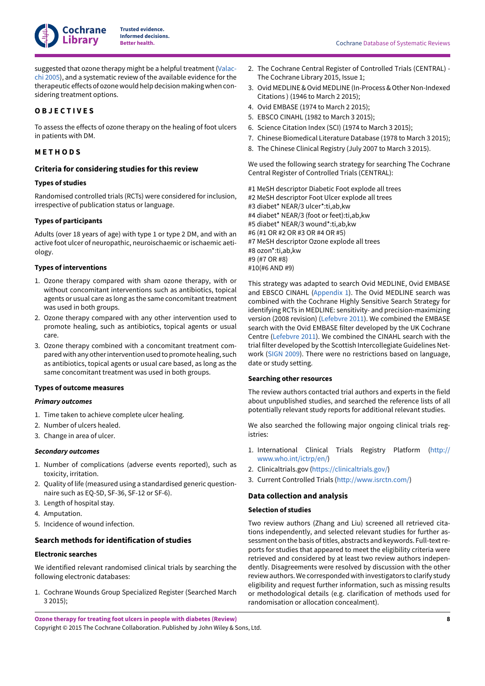

suggested that ozone therapy might be a helpful treatment ([Valac](#page-19-10)[chi 2005](#page-19-10)), and a systematic review of the available evidence for the therapeutic effects of ozonewould help decision makingwhen considering treatment options.

### <span id="page-9-0"></span>**O B J E C T I V E S**

To assess the effects of ozone therapy on the healing of foot ulcers in patients with DM.

### <span id="page-9-1"></span>**M E T H O D S**

### **Criteria for considering studies for this review**

### **Types of studies**

Randomised controlled trials (RCTs) were considered for inclusion, irrespective of publication status or language.

### **Types of participants**

Adults (over 18 years of age) with type 1 or type 2 DM, and with an active foot ulcer of neuropathic, neuroischaemic or ischaemic aetiology.

### **Types of interventions**

- 1. Ozone therapy compared with sham ozone therapy, with or without concomitant interventions such as antibiotics, topical agents or usual care as long as the same concomitant treatment was used in both groups.
- 2. Ozone therapy compared with any other intervention used to promote healing, such as antibiotics, topical agents or usual care.
- 3. Ozone therapy combined with a concomitant treatment compared with any other intervention used to promote healing, such as antibiotics, topical agents or usual care based, as long as the same concomitant treatment was used in both groups.

### **Types of outcome measures**

### *Primary outcomes*

- 1. Time taken to achieve complete ulcer healing.
- 2. Number of ulcers healed.
- 3. Change in area of ulcer.

### *Secondary outcomes*

- 1. Number of complications (adverse events reported), such as toxicity, irritation.
- 2. Quality of life (measured using a standardised generic questionnaire such as EQ-5D, SF-36, SF-12 or SF-6).
- 3. Length of hospital stay.
- 4. Amputation.
- 5. Incidence of wound infection.

### **Search methods for identification of studies**

### **Electronic searches**

We identified relevant randomised clinical trials by searching the following electronic databases:

1. Cochrane Wounds Group Specialized Register (Searched March 3 2015);

- 2. The Cochrane Central Register of Controlled Trials (CENTRAL) The Cochrane Library 2015, Issue 1;
- 3. Ovid MEDLINE & Ovid MEDLINE (In-Process & Other Non-Indexed Citations ) (1946 to March 2 2015);
- 4. Ovid EMBASE (1974 to March 2 2015);
- 5. EBSCO CINAHL (1982 to March 3 2015);
- 6. Science Citation Index (SCI) (1974 to March 3 2015);
- 7. Chinese Biomedical Literature Database (1978 to March 3 2015);
- 8. The Chinese Clinical Registry (July 2007 to March 3 2015).

We used the following search strategy for searching The Cochrane Central Register of Controlled Trials (CENTRAL):

#1 MeSH descriptor Diabetic Foot explode all trees #2 MeSH descriptor Foot Ulcer explode all trees #3 diabet\* NEAR/3 ulcer\*:ti,ab,kw #4 diabet\* NEAR/3 (foot or feet):ti,ab,kw #5 diabet\* NEAR/3 wound\*:ti,ab,kw #6 (#1 OR #2 OR #3 OR #4 OR #5) #7 MeSH descriptor Ozone explode all trees #8 ozon\*:ti,ab,kw #9 (#7 OR #8) #10(#6 AND #9)

This strategy was adapted to search Ovid MEDLINE, Ovid EMBASE and EBSCO CINAHL [\(Appendix 1](#page-30-1)). The Ovid MEDLINE search was combined with the Cochrane Highly Sensitive Search Strategy for identifying RCTs in MEDLINE: sensitivity- and precision-maximizing version (2008 revision) [\(Lefebvre 2011\)](#page-18-14). We combined the EMBASE search with the Ovid EMBASE filter developed by the UK Cochrane Centre ([Lefebvre 2011\)](#page-18-14). We combined the CINAHL search with the trial filter developed by the Scottish Intercollegiate Guidelines Network ([SIGN 2009\)](#page-19-13). There were no restrictions based on language, date or study setting.

### **Searching other resources**

The review authors contacted trial authors and experts in the field about unpublished studies, and searched the reference lists of all potentially relevant study reports for additional relevant studies.

We also searched the following major ongoing clinical trials registries:

- 1. International Clinical Trials Registry Platform [\(http://](http://www.who.int/ictrp/en/) [www.who.int/ictrp/en/](http://www.who.int/ictrp/en/))
- 2. Clinicaltrials.gov [\(https://clinicaltrials.gov/\)](https://clinicaltrials.gov/)
- 3. Current Controlled Trials ([http://www.isrctn.com/\)](http://www.isrctn.com/)

### **Data collection and analysis**

### **Selection of studies**

Two review authors (Zhang and Liu) screened all retrieved citations independently, and selected relevant studies for further assessment on the basis of titles, abstracts and keywords. Full-text reports for studies that appeared to meet the eligibility criteria were retrieved and considered by at least two review authors independently. Disagreements were resolved by discussion with the other review authors.We corresponded with investigators to clarify study eligibility and request further information, such as missing results or methodological details (e.g. clarification of methods used for randomisation or allocation concealment).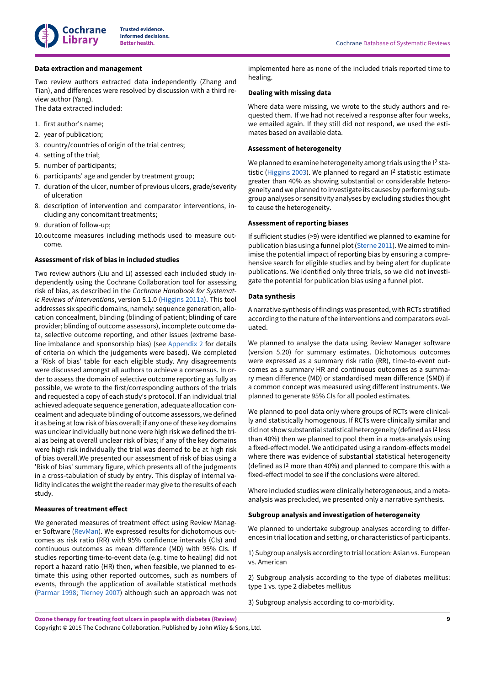

#### **Data extraction and management**

Two review authors extracted data independently (Zhang and Tian), and differences were resolved by discussion with a third review author (Yang). The data extracted included:

- 1. first author's name;
- 2. year of publication;
- 3. country/countries of origin of the trial centres;
- 4. setting of the trial;
- 5. number of participants;
- 6. participants' age and gender by treatment group;
- 7. duration of the ulcer, number of previous ulcers, grade/severity of ulceration
- 8. description of intervention and comparator interventions, including any concomitant treatments;
- 9. duration of follow-up;
- 10.outcome measures including methods used to measure outcome.

#### **Assessment of risk of bias in included studies**

Two review authors (Liu and Li) assessed each included study independently using the Cochrane Collaboration tool for assessing risk of bias, as described in the *Cochrane Handbook for Systematic Reviews of Interventions*, version 5.1.0 ([Higgins 2011a](#page-18-15)). This tool addresses six specific domains, namely: sequence generation, allocation concealment, blinding (blinding of patient; blinding of care provider; blinding of outcome assessors), incomplete outcome data, selective outcome reporting, and other issues (extreme baseline imbalance and sponsorship bias) (see [Appendix 2](#page-31-0) for details of criteria on which the judgements were based). We completed a 'Risk of bias' table for each eligible study. Any disagreements were discussed amongst all authors to achieve a consensus. In order to assess the domain of selective outcome reporting as fully as possible, we wrote to the first/corresponding authors of the trials and requested a copy of each study's protocol. If an individual trial achieved adequate sequence generation, adequate allocation concealment and adequate blinding of outcome assessors, we defined it as being at low risk of bias overall; if any one of these key domains was unclear individually but none were high risk we defined the trial as being at overall unclear risk of bias; if any of the key domains were high risk individually the trial was deemed to be at high risk of bias overall.We presented our assessment of risk of bias using a 'Risk of bias' summary figure, which presents all of the judgments in a cross-tabulation of study by entry. This display of internal validity indicates the weight the reader may give to the results of each study.

#### **Measures of treatment effect**

We generated measures of treatment effect using Review Manager Software [\(RevMan](http://revman)). We expressed results for dichotomous outcomes as risk ratio (RR) with 95% confidence intervals (CIs) and continuous outcomes as mean difference (MD) with 95% CIs. If studies reporting time-to-event data (e.g. time to healing) did not report a hazard ratio (HR) then, when feasible, we planned to estimate this using other reported outcomes, such as numbers of events, through the application of available statistical methods [\(Parmar 1998;](#page-19-14) [Tierney 2007](#page-19-15)) although such an approach was not implemented here as none of the included trials reported time to healing.

#### **Dealing with missing data**

Where data were missing, we wrote to the study authors and requested them. If we had not received a response after four weeks, we emailed again. If they still did not respond, we used the estimates based on available data.

#### **Assessment of heterogeneity**

We planned to examine heterogeneity among trials using the I<sup>2</sup> statistic [\(Higgins 2003](#page-18-16)). We planned to regard an I 2 statistic estimate greater than 40% as showing substantial or considerable heterogeneity and we planned to investigate its causes by performing subgroup analyses or sensitivity analyses by excluding studies thought to cause the heterogeneity.

#### **Assessment of reporting biases**

If sufficient studies (>9) were identified we planned to examine for publication bias using a funnel plot [\(Sterne](#page-19-16) 2011). We aimed to minimise the potential impact of reporting bias by ensuring a comprehensive search for eligible studies and by being alert for duplicate publications. We identified only three trials, so we did not investigate the potential for publication bias using a funnel plot.

#### **Data synthesis**

A narrative synthesis of findings was presented, with RCTs stratified according to the nature of the interventions and comparators evaluated.

We planned to analyse the data using Review Manager software (version 5.20) for summary estimates. Dichotomous outcomes were expressed as a summary risk ratio (RR), time-to-event outcomes as a summary HR and continuous outcomes as a summary mean difference (MD) or standardised mean difference (SMD) if a common concept was measured using different instruments. We planned to generate 95% CIs for all pooled estimates.

We planned to pool data only where groups of RCTs were clinically and statistically homogenous. If RCTs were clinically similar and did not show substantial statistical heterogeneity (defined as I 2 less than 40%) then we planned to pool them in a meta-analysis using a fixed-effect model. We anticipated using a random-effects model where there was evidence of substantial statistical heterogeneity (defined as I2 more than 40%) and planned to compare this with a fixed-effect model to see if the conclusions were altered.

Where included studies were clinically heterogeneous, and a metaanalysis was precluded, we presented only a narrative synthesis.

#### **Subgroup analysis and investigation of heterogeneity**

We planned to undertake subgroup analyses according to differences in trial location and setting, or characteristics of participants.

1) Subgroup analysis according to trial location: Asian vs. European vs. American

2) Subgroup analysis according to the type of diabetes mellitus: type 1 vs. type 2 diabetes mellitus

3) Subgroup analysis according to co-morbidity.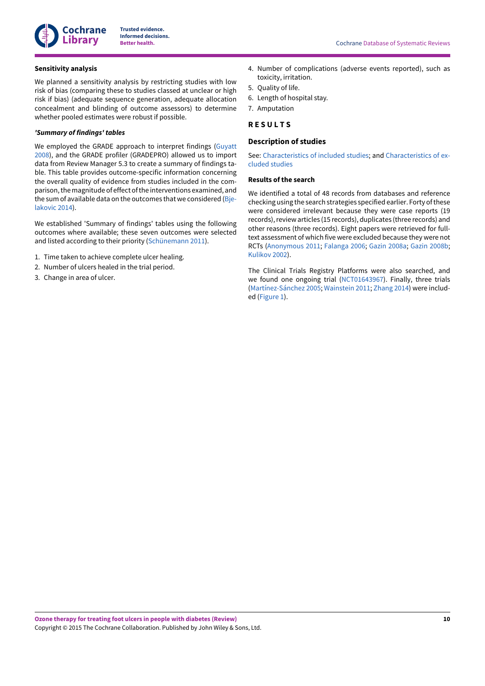![](_page_11_Picture_0.jpeg)

#### **Sensitivity analysis**

We planned a sensitivity analysis by restricting studies with low risk of bias (comparing these to studies classed at unclear or high risk if bias) (adequate sequence generation, adequate allocation concealment and blinding of outcome assessors) to determine whether pooled estimates were robust if possible.

#### *'Summary of findings' tables*

We employed the GRADE approach to interpret findings [\(Guyatt](#page-18-17) [2008](#page-18-17)), and the GRADE profiler (GRADEPRO) allowed us to import data from Review Manager 5.3 to create a summary of findings table. This table provides outcome-specific information concerning the overall quality of evidence from studies included in the comparison, the magnitude of effect of the interventions examined, and the sum of available data on the outcomes that we considered ([Bje](#page-17-8)[lakovic 2014\)](#page-17-8).

We established 'Summary of findings' tables using the following outcomes where available; these seven outcomes were selected and listed according to their priority [\(Schünemann 2011\)](#page-19-17).

- 1. Time taken to achieve complete ulcer healing.
- 2. Number of ulcers healed in the trial period.
- 3. Change in area of ulcer.
- 4. Number of complications (adverse events reported), such as toxicity, irritation.
- 5. Quality of life.
- 6. Length of hospital stay.
- 7. Amputation

<span id="page-11-0"></span>**R E S U L T S**

#### **Description of studies**

See: [Characteristics of included studies;](#page-19-18) and [Characteristics of ex](#page-24-0)[cluded studies](#page-24-0)

#### **Results of the search**

We identified a total of 48 records from databases and reference checking using the search strategies specified earlier. Forty of these were considered irrelevant because they were case reports (19 records), review articles (15 records), duplicates (three records) and other reasons (three records). Eight papers were retrieved for fulltext assessment of which five were excluded because they were not RCTs [\(Anonymous 2011](#page-17-9); [Falanga 2006](#page-17-10); [Gazin 2008a](#page-17-11); [Gazin 2008b;](#page-17-12) [Kulikov 2002\)](#page-17-13).

The Clinical Trials Registry Platforms were also searched, and we found one ongoing trial [\(NCT01643967\)](#page-17-14). Finally, three trials [\(Martínez-Sánchez](#page-17-5) 2005; [Wainstein 2011;](#page-17-15) [Zhang 2014\)](#page-17-16) were included ([Figure 1\)](#page-12-0).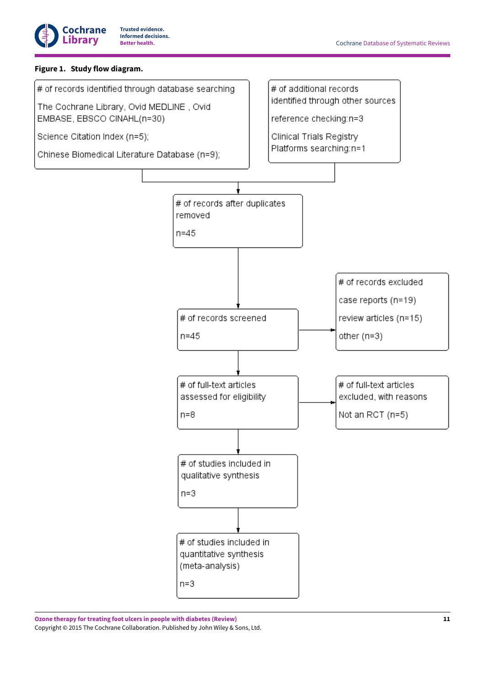![](_page_12_Picture_0.jpeg)

### <span id="page-12-0"></span>**Figure 1. Study flow diagram.**

![](_page_12_Figure_4.jpeg)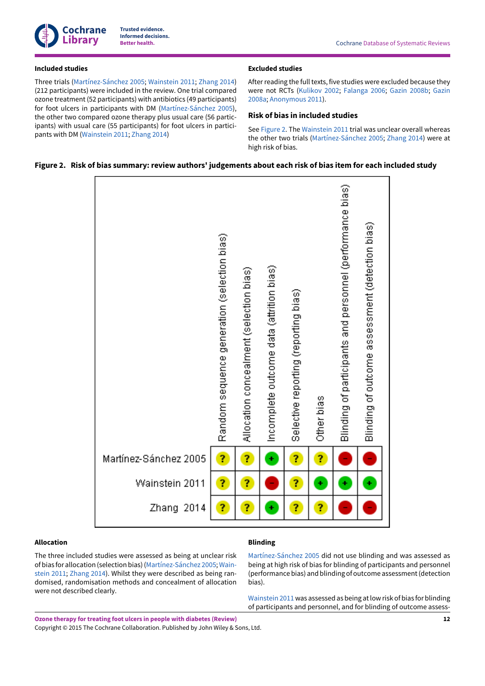#### **Included studies**

Three trials [\(Martínez-Sánchez](#page-17-5) 2005; [Wainstein 2011](#page-17-15); [Zhang 2014\)](#page-17-16) (212 participants) were included in the review. One trial compared ozone treatment (52 participants) with antibiotics (49 participants) for foot ulcers in participants with DM ([Martínez-Sánchez](#page-17-5) 2005), the other two compared ozone therapy plus usual care (56 participants) with usual care (55 participants) for foot ulcers in participants with DM ([Wainstein 2011](#page-17-15); [Zhang 2014\)](#page-17-16)

#### **Excluded studies**

After reading the full texts, five studies were excluded because they were not RCTs ([Kulikov 2002](#page-17-13); [Falanga 2006](#page-17-10); [Gazin 2008b](#page-17-12); [Gazin](#page-17-11) [2008a](#page-17-11); [Anonymous 2011\)](#page-17-9).

### **Risk of bias in included studies**

See [Figure 2](#page-13-0). The [Wainstein 2011](#page-17-15) trial was unclear overall whereas the other two trials [\(Martínez-Sánchez](#page-17-5) 2005; [Zhang 2014](#page-17-16)) were at high risk of bias.

### <span id="page-13-0"></span>Figure 2. Risk of bias summary: review authors' judgements about each risk of bias item for each included study

![](_page_13_Figure_10.jpeg)

#### **Allocation**

The three included studies were assessed as being at unclear risk of bias for allocation (selection bias)[\(Martínez-Sánchez](#page-17-5) 2005; [Wain](#page-17-15)[stein 2011](#page-17-15); [Zhang 2014\)](#page-17-16). Whilst they were described as being randomised, randomisation methods and concealment of allocation were not described clearly.

### **Blinding**

[Martínez-Sánchez](#page-17-5) 2005 did not use blinding and was assessed as being at high risk of bias for blinding of participants and personnel (performance bias) and blinding of outcome assessment (detection bias).

[Wainstein 2011](#page-17-15) was assessed as being atlow risk of bias for blinding of participants and personnel, and for blinding of outcome assess-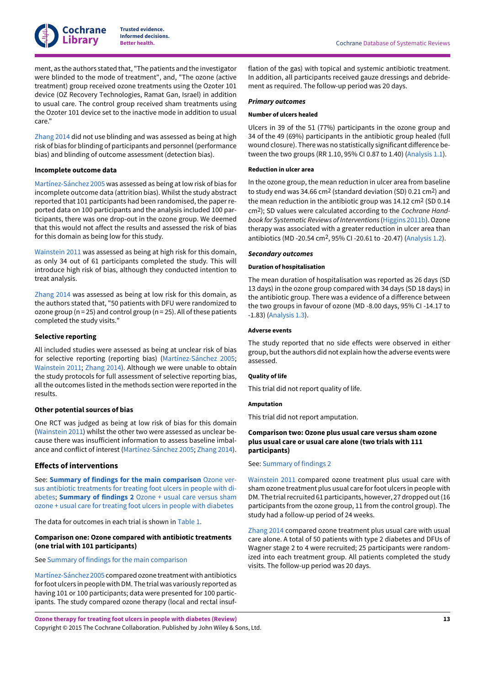ment, as the authors stated that, "The patients and the investigator were blinded to the mode of treatment", and, "The ozone (active treatment) group received ozone treatments using the Ozoter 101 device (OZ Recovery Technologies, Ramat Gan, Israel) in addition to usual care. The control group received sham treatments using the Ozoter 101 device set to the inactive mode in addition to usual care."

[Zhang 2014](#page-17-16) did not use blinding and was assessed as being at high risk of bias for blinding of participants and personnel (performance bias) and blinding of outcome assessment (detection bias).

#### **Incomplete outcome data**

[Martínez-Sánchez](#page-17-5) 2005 was assessed as being at low risk of bias for incomplete outcome data (attrition bias). Whilst the study abstract reported that 101 participants had been randomised, the paper reported data on 100 participants and the analysis included 100 participants, there was one drop-out in the ozone group. We deemed that this would not affect the results and assessed the risk of bias for this domain as being low for this study.

[Wainstein 2011](#page-17-15) was assessed as being at high risk for this domain, as only 34 out of 61 participants completed the study. This will introduce high risk of bias, although they conducted intention to treat analysis.

[Zhang 2014](#page-17-16) was assessed as being at low risk for this domain, as the authors stated that, "50 patients with DFU were randomized to ozone group ( $n = 25$ ) and control group ( $n = 25$ ). All of these patients completed the study visits."

#### **Selective reporting**

All included studies were assessed as being at unclear risk of bias for selective reporting (reporting bias) ([Martínez-Sánchez](#page-17-5) 2005; [Wainstein 2011](#page-17-15); [Zhang 2014\)](#page-17-16). Although we were unable to obtain the study protocols for full assessment of selective reporting bias, all the outcomes listed in the methods section were reported in the results.

#### **Other potential sources of bias**

One RCT was judged as being at low risk of bias for this domain [\(Wainstein 2011](#page-17-15)) whilst the other two were assessed as unclear because there was insufficient information to assess baseline imbalance and conflict of interest [\(Martínez-Sánchez](#page-17-5) 2005; [Zhang 2014\)](#page-17-16).

#### **Effects of interventions**

See: **Summary of findings for the main [comparison](#page-4-1)** Ozone versus antibiotic [treatments](#page-4-1) for treating foot ulcers in people with di[abetes;](#page-4-1) **[Summary](#page-5-0) of findings 2** Ozone + usual care versus sham ozone + usual care for treating foot ulcers in people with [diabetes](#page-5-0)

The data for outcomes in each trial is shown in [Table 1](#page-29-0).

#### **Comparison one: Ozone compared with antibiotic treatments (one trial with 101 participants)**

See Summary of findings for the main [comparison](#page-4-1)

[Martínez-Sánchez](#page-17-5) 2005 compared ozone treatment with antibiotics for foot ulcers in people with DM. The trial was variously reported as having 101 or 100 participants; data were presented for 100 participants. The study compared ozone therapy (local and rectal insufflation of the gas) with topical and systemic antibiotic treatment. In addition, all participants received gauze dressings and debridement as required. The follow-up period was 20 days.

#### *Primary outcomes*

#### **Number of ulcers healed**

Ulcers in 39 of the 51 (77%) participants in the ozone group and 34 of the 49 (69%) participants in the antibiotic group healed (full wound closure). There was no statistically significant difference between the two groups (RR 1.10, 95% CI 0.87 to 1.40) [\(Analysis 1.1\)](#page-26-1).

#### **Reduction in ulcer area**

In the ozone group, the mean reduction in ulcer area from baseline to study end was 34.66 cm2 (standard deviation (SD) 0.21 cm2) and the mean reduction in the antibiotic group was  $14.12 \text{ cm}^2$  (SD 0.14) cm2); SD values were calculated according to the *Cochrane Handbook for Systematic Reviews of Interventions* [\(Higgins 2011b\).Ozone](https://www.austinozone.com) therapy was associated with a greater reduction in ulcer area than antibiotics (MD -20.54 cm2, 95% CI -20.61 to -20.47) [\(Analysis 1.2\)](#page-26-2).

#### *Secondary outcomes*

#### **Duration of hospitalisation**

The mean duration of hospitalisation was reported as 26 days (SD 13 days) in the ozone group compared with 34 days (SD 18 days) in the antibiotic group. There was a evidence of a difference between the two groups in favour of ozone (MD -8.00 days, 95% CI -14.17 to -1.83) [\(Analysis 1.3](#page-27-0)).

#### **Adverse events**

The study reported that no side effects were observed in either group, but the authors did not explain how the adverse events were assessed.

#### **Quality of life**

This trial did not report quality of life.

#### **Amputation**

This trial did not report amputation.

#### **Comparison two: Ozone plus usual care versus sham ozone plus usual care or usual care alone (two trials with 111 participants)**

See: [Summary of findings 2](#page-5-0)

[Wainstein 2011](#page-17-15) compared ozone treatment plus usual care with sham ozone treatment plus usual care forfoot ulcers in people with DM. The trial recruited 61 participants, however, 27 dropped out (16 participants from the ozone group, 11 from the control group). The study had a follow-up period of 24 weeks.

[Zhang 2014](#page-17-16) compared ozone treatment plus usual care with usual care alone. A total of 50 patients with type 2 diabetes and DFUs of Wagner stage 2 to 4 were recruited; 25 participants were randomized into each treatment group. All patients completed the study visits. The follow-up period was 20 days.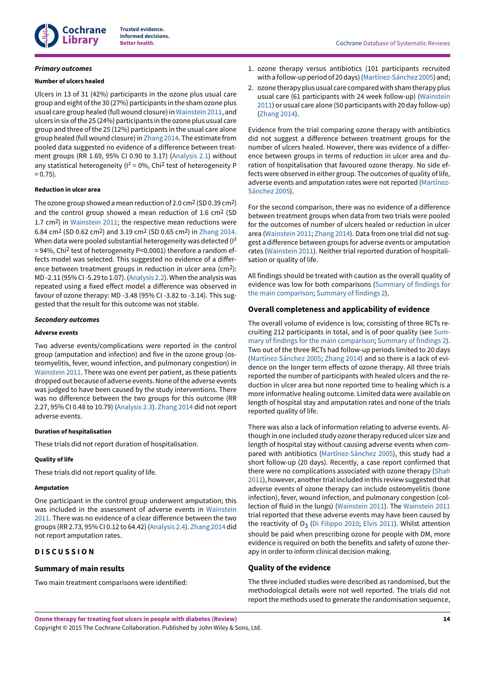#### *Primary outcomes*

#### **Number of ulcers healed**

Ulcers in 13 of 31 (42%) participants in the ozone plus usual care group and eight of the 30 (27%) participants in the sham ozone plus usual care group healed (full wound closure) in [Wainstein 2011](#page-17-15), and ulcers in six of the 25 (24%) participants in the ozone plus usual care group and three of the 25 (12%) participants in the usual care alone group healed (full wound closure) in [Zhang 2014](#page-17-16). The estimate from pooled data suggested no evidence of a difference between treatment groups (RR 1.69, 95% CI 0.90 to 3.17) [\(Analysis 2.1\)](#page-27-1) without any statistical heterogeneity ( $I^2 = 0\%$ , Chi<sup>2</sup> test of heterogeneity P  $= 0.75$ ).

#### **Reduction in ulcer area**

The ozone group showed a mean reduction of 2.0 cm<sup>2</sup> (SD 0.39 cm<sup>2</sup>) and the control group showed a mean reduction of 1.6 cm2 (SD 1.7 cm<sup>2</sup>) in [Wainstein 2011](#page-17-15); the respective mean reductions were 6.84 cm2 (SD 0.62 cm2) and 3.19 cm2 (SD 0.65 cm2) in [Zhang 2014](#page-17-16). When data were pooled substantial heterogeneity was detected ( $I<sup>2</sup>$ = 94%, Chi2 test of heterogeneity P<0.0001) therefore a random effects model was selected. This suggested no evidence of a difference between treatment groups in reduction in ulcer area (cm2): MD-2.11 (95% CI-5.29 to 1.07).[\(Analysis 2.2\)](#page-27-2).When the analysis was repeated using a fixed effect model a difference was observed in favour of ozone therapy: MD -3.48 (95% CI -3.82 to -3.14). This suggested that the result for this outcome was not stable.

#### *Secondary outcomes*

#### **Adverse events**

Two adverse events/complications were reported in the control group (amputation and infection) and five in the ozone group (osteomyelitis, fever, wound infection, and pulmonary congestion) in [Wainstein 2011](#page-17-15). There was one event per patient, as these patients dropped out because of adverse events.None ofthe adverse events was judged to have been caused by the study interventions. There was no difference between the two groups for this outcome (RR 2.27, 95% CI 0.48 to 10.79) [\(Analysis 2.3\)](#page-28-0). [Zhang 2014](#page-17-16) did not report adverse events.

#### **Duration of hospitalisation**

These trials did not report duration of hospitalisation.

#### **Quality of life**

These trials did not report quality of life.

#### **Amputation**

One participant in the control group underwent amputation; this was included in the assessment of adverse events in [Wainstein](#page-17-15) [2011](#page-17-15). There was no evidence of a clear difference between the two groups (RR 2.73, 95% CI 0.12 to 64.42) [\(Analysis 2.4](#page-28-1)). [Zhang 2014](#page-17-16) did not report amputation rates.

### <span id="page-15-0"></span>**D I S C U S S I O N**

### **Summary of main results**

Two main treatment comparisons were identified:

- 1. ozone therapy versus antibiotics (101 participants recruited with a follow-up period of 20 days) [\(Martínez-Sánchez](#page-17-5) 2005) and;
- 2. ozone therapy plus usual care compared with sham therapy plus usual care (61 participants with 24 week follow-up) ([Wainstein](#page-17-15) [2011\)](#page-17-15) or usual care alone (50 participants with 20 day follow-up) ([Zhang 2014](#page-17-16)).

Evidence from the trial comparing ozone therapy with antibiotics did not suggest a difference between treatment groups for the number of ulcers healed. However, there was evidence of a difference between groups in terms of reduction in ulcer area and duration of hospitalisation that favoured ozone therapy. No side effects were observed in either group. The outcomes of quality of life, adverse events and amputation rates were not reported [\(Martínez-](#page-17-5)[Sánchez 2005\)](#page-17-5).

For the second comparison, there was no evidence of a difference between treatment groups when data from two trials were pooled for the outcomes of number of ulcers healed or reduction in ulcer area ([Wainstein 2011](#page-17-15); [Zhang 2014\)](#page-17-16). Data from one trial did not suggest a difference between groups for adverse events or amputation rates ([Wainstein 2011\)](#page-17-15). Neither trial reported duration of hospitalisation or quality of life.

All findings should be treated with caution as the overall quality of evidence was low for both comparisons ([Summary](#page-4-1) of findings for [the main comparison;](#page-4-1) [Summary of findings 2\)](#page-5-0).

### **Overall completeness and applicability of evidence**

The overall volume of evidence is low, consisting of three RCTs recruiting 212 participants in total, and is of poor quality (see [Sum](#page-4-1)mary of findings for the main [comparison;](#page-4-1) [Summary of findings 2\)](#page-5-0). Two out of the three RCTs had follow-up periods limited to 20 days [\(Martínez-Sánchez](#page-17-5) 2005; [Zhang 2014\)](#page-17-16) and so there is a lack of evidence on the longer term effects of ozone therapy. All three trials reported the number of participants with healed ulcers and the reduction in ulcer area but none reported time to healing which is a more informative healing outcome. Limited data were available on length of hospital stay and amputation rates and none of the trials reported quality of life.

There was also a lack of information relating to adverse events. Although in one included study ozone therapy reduced ulcer size and length of hospital stay without causing adverse events when compared with antibiotics ([Martínez-Sánchez](#page-17-5) 2005), this study had a short follow-up (20 days). Recently, a case report confirmed that there were no complications associated with ozone therapy ([Shah](#page-19-19) [2011\)](#page-19-19), however, another trial included in this review suggested that adverse events of ozone therapy can include osteomyelitis (bone infection), fever, wound infection, and pulmonary congestion (collection of fluid in the lungs) [\(Wainstein 2011\)](#page-17-15). The [Wainstein 2011](#page-17-15) trial reported that these adverse events may have been caused by the reactivity of  $O_3$  ([Di Filippo 2010;](#page-18-19) [Elvis 2011\)](#page-18-20). Whilst attention should be paid when prescribing ozone for people with DM, more evidence is required on both the benefits and safety of ozone therapy in order to inform clinical decision making.

### **Quality of the evidence**

The three included studies were described as randomised, but the methodological details were not well reported. The trials did not report the methods used to generate the randomisation sequence,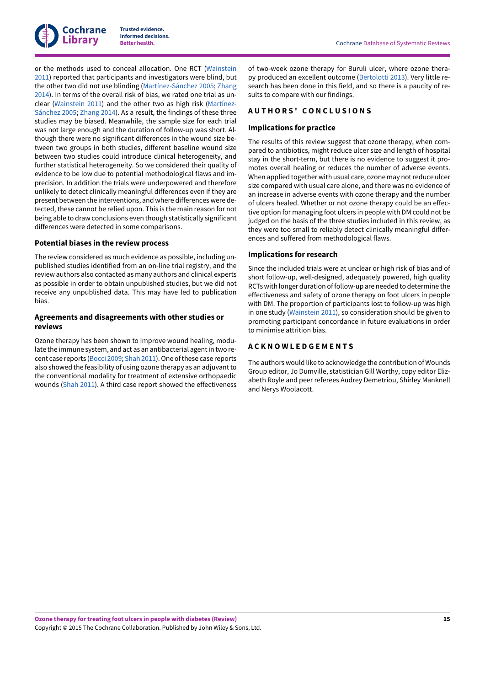![](_page_16_Picture_0.jpeg)

or the methods used to conceal allocation. One RCT [\(Wainstein](#page-17-15) [2011](#page-17-15)) reported that participants and investigators were blind, but the other two did not use blinding ([Martínez-Sánchez](#page-17-5) 2005; [Zhang](#page-17-16) [2014](#page-17-16)). In terms of the overall risk of bias, we rated one trial as unclear ([Wainstein 2011](#page-17-15)) and the other two as high risk [\(Martínez-](#page-17-5)[Sánchez 2005;](#page-17-5) [Zhang 2014\)](#page-17-16). As a result, the findings of these three studies may be biased. Meanwhile, the sample size for each trial was not large enough and the duration of follow-up was short. Although there were no significant differences in the wound size between two groups in both studies, different baseline wound size between two studies could introduce clinical heterogeneity, and further statistical heterogeneity. So we considered their quality of evidence to be low due to potential methodological flaws and imprecision. In addition the trials were underpowered and therefore unlikely to detect clinically meaningful differences even if they are present between the interventions, and where differences were detected, these cannot be relied upon. This is the main reason for not being able to draw conclusions even though statistically significant differences were detected in some comparisons.

### **Potential biases in the review process**

The review considered as much evidence as possible, including unpublished studies identified from an on-line trial registry, and the review authors also contacted as many authors and clinical experts as possible in order to obtain unpublished studies, but we did not receive any unpublished data. This may have led to publication bias.

### **Agreements and disagreements with other studies or reviews**

Ozone therapy has been shown to improve wound healing, modulate the immune system, and act as an antibacterial agent in two re-cent case reports ([Bocci 2009;](#page-17-17) [Shah 2011](#page-19-19)). One of these case reports also showed the feasibility of using ozone therapy as an adjuvant to the conventional modality for treatment of extensive orthopaedic wounds [\(Shah 2011](#page-19-19)). A third case report showed the effectiveness

of two-week ozone therapy for Buruli ulcer, where ozone therapy produced an excellent outcome ([Bertolotti 2013](#page-17-18)). Very little research has been done in this field, and so there is a paucity of results to compare with our findings.

#### <span id="page-16-0"></span>**A U T H O R S ' C O N C L U S I O N S**

#### **Implications for practice**

The results of this review suggest that ozone therapy, when compared to antibiotics, might reduce ulcer size and length of hospital stay in the short-term, but there is no evidence to suggest it promotes overall healing or reduces the number of adverse events. When applied together with usual care, ozone may not reduce ulcer size compared with usual care alone, and there was no evidence of an increase in adverse events with ozone therapy and the number of ulcers healed. Whether or not ozone therapy could be an effective option for managing foot ulcers in people with DM could not be judged on the basis of the three studies included in this review, as they were too small to reliably detect clinically meaningful differences and suffered from methodological flaws.

#### **Implications for research**

Since the included trials were at unclear or high risk of bias and of short follow-up, well-designed, adequately powered, high quality RCTs with longer duration of follow-up are needed to determine the effectiveness and safety of ozone therapy on foot ulcers in people with DM. The proportion of participants lost to follow-up was high in one study [\(Wainstein 2011](#page-17-15)), so consideration should be given to promoting participant concordance in future evaluations in order to minimise attrition bias.

### <span id="page-16-1"></span>**A C K N O W L E D G E M E N T S**

The authors would like to acknowledge the contribution ofWounds Group editor, Jo Dumville, statistician Gill Worthy, copy editor Elizabeth Royle and peer referees Audrey Demetriou, Shirley Manknell and Nerys Woolacott.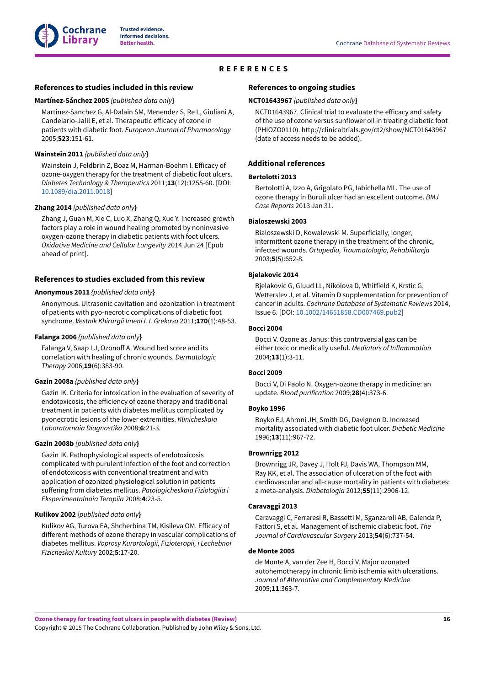### **REFERENCES**

#### <span id="page-17-0"></span>**References to studies included in this review**

#### <span id="page-17-5"></span>**Martínez-Sánchez 2005** *{published data only***}**

Martinez-Sanchez G, Al-Dalain SM, Menendez S, Re L, Giuliani A, Candelario-Jalil E, et al. Therapeutic efficacy of ozone in patients with diabetic foot. *European Journal of Pharmacology* 2005;**523**:151-61.

#### <span id="page-17-15"></span>**Wainstein 2011** *{published data only***}**

Wainstein J, Feldbrin Z, Boaz M, Harman-Boehm I. Efficacy of ozone-oxygen therapy for the treatment of diabetic foot ulcers. *Diabetes Technology & Therapeutics* 2011;**13**(12):1255-60. [DOI: [10.1089/dia.2011.0018](https://doi.org/10.1089/dia.2011.0018)]

#### <span id="page-17-16"></span>**Zhang 2014** *{published data only***}**

Zhang J, Guan M, Xie C, Luo X, Zhang Q, Xue Y. Increased growth factors play a role in wound healing promoted by noninvasive oxygen-ozone therapy in diabetic patients with foot ulcers. *Oxidative Medicine and Cellular Longevity* 2014 Jun 24 [Epub ahead of print].

#### **References to studies excluded from this review**

#### <span id="page-17-9"></span>**Anonymous 2011** *{published data only***}**

Anonymous. Ultrasonic cavitation and ozonization in treatment of patients with pyo-necrotic complications of diabetic foot syndrome. *Vestnik Khirurgii Imeni I. I. Grekova* 2011;**170**(1):48-53.

#### <span id="page-17-10"></span>**Falanga 2006** *{published data only***}**

Falanga V, Saap LJ, Ozonoff A. Wound bed score and its correlation with healing of chronic wounds. *Dermatologic Therapy* 2006;**19**(6):383-90.

#### <span id="page-17-11"></span>**Gazin 2008a** *{published data only***}**

Gazin IK. Criteria for intoxication in the evaluation of severity of endotoxicosis, the efficiency of ozone therapy and traditional treatment in patients with diabetes mellitus complicated by pyonecrotic lesions of the lower extremities. *Klinicheskaia Laboratornaia Diagnostika* 2008;**6**:21-3.

#### <span id="page-17-12"></span>**Gazin 2008b** *{published data only***}**

Gazin IK. Pathophysiological aspects of endotoxicosis complicated with purulent infection of the foot and correction of endotoxicosis with conventional treatment and with application of ozonized physiological solution in patients suffering from diabetes mellitus. Patologicheskaia Fiziologiia i *Eksperimentalnaia Terapiia* 2008;**4**:23-5.

### <span id="page-17-13"></span>**Kulikov 2002** *{published data only***}**

Kulikov AG, Turova EA, Shcherbina TM, Kisileva OM. Efficacy of different methods of ozone therapy in vascular complications of diabetes mellitus. *Voprosy Kurortologii, Fizioterapii, i Lechebnoi Fizicheskoi Kultury* 2002;**5**:17-20.

#### **References to ongoing studies**

#### <span id="page-17-14"></span>**NCT01643967** *{published data only***}**

NCT01643967. Clinical trial to evaluate the efficacy and safety of the use of ozone versus sunflower oil in treating diabetic foot (PHIOZO0110). http://clinicaltrials.gov/ct2/show/NCT01643967 (date of access needs to be added).

#### **Additional references**

#### <span id="page-17-18"></span>**Bertolotti 2013**

Bertolotti A, Izzo A, Grigolato PG, Iabichella ML. The use of ozone therapy in Buruli ulcer had an excellent outcome. *BMJ Case Reports* 2013 Jan 31.

#### <span id="page-17-7"></span>**Bialoszewski 2003**

Bialoszewski D, Kowalewski M. Superficially, longer, intermittent ozone therapy in the treatment of the chronic, infected wounds. *Ortopedia, Traumatologia, Rehabilitacja* 2003;**5**(5):652-8.

#### <span id="page-17-8"></span>**Bjelakovic 2014**

Bjelakovic G, Gluud LL, Nikolova D, Whitfield K, Krstic G, Wetterslev J, et al. Vitamin D supplementation for prevention of cancer in adults. *Cochrane Database of Systematic Reviews* 2014, Issue 6. [DOI: [10.1002/14651858.CD007469.pub2\]](https://doi.org/10.1002/14651858.CD007469.pub2)

#### <span id="page-17-4"></span>**Bocci 2004**

Bocci V. Ozone as Janus: this controversial gas can be either toxic or medically useful. *Mediators of Inflammation* 2004;**13**(1):3-11.

#### <span id="page-17-17"></span>**Bocci 2009**

Bocci V, Di Paolo N. Oxygen-ozone therapy in medicine: an update. *Blood purification* 2009;**28**(4):373-6.

#### <span id="page-17-1"></span>**Boyko 1996**

Boyko EJ, Ahroni JH, Smith DG, Davignon D. Increased mortality associated with diabetic foot ulcer. *Diabetic Medicine* 1996;**13**(11):967-72.

#### <span id="page-17-2"></span>**Brownrigg 2012**

Brownrigg JR, Davey J, Holt PJ, Davis WA, Thompson MM, Ray KK, et al. The association of ulceration of the foot with cardiovascular and all-cause mortality in patients with diabetes: a meta-analysis. *Diabetologia* 2012;**55**(11):2906-12.

#### <span id="page-17-3"></span>**Caravaggi 2013**

Caravaggi C, Ferraresi R, Bassetti M, Sganzaroli AB, Galenda P, Fattori S, et al. Management of ischemic diabetic foot. *The Journal of Cardiovascular Surgery* 2013;**54**(6):737-54.

#### <span id="page-17-6"></span>**de Monte 2005**

de Monte A, van der Zee H, Bocci V. Major ozonated autohemotherapy in chronic limb ischemia with ulcerations. *Journal of Alternative and Complementary Medicine* 2005;**11**:363-7.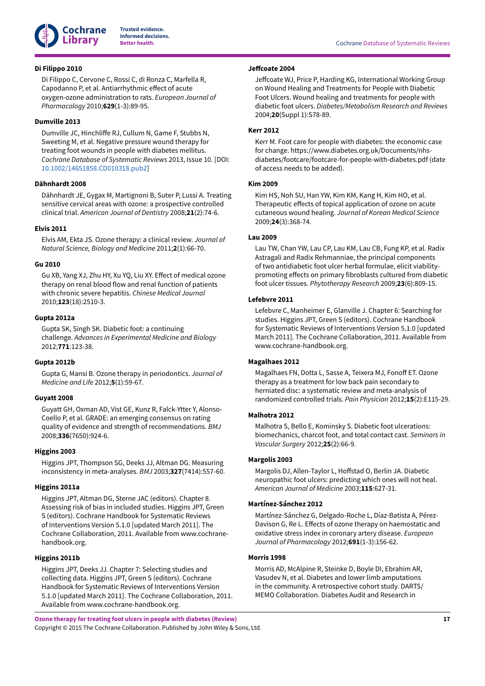![](_page_18_Picture_0.jpeg)

#### <span id="page-18-19"></span>**Di Filippo 2010**

Di Filippo C, Cervone C, Rossi C, di Ronza C, Marfella R, Capodanno P, et al. Antiarrhythmic effect of acute oxygen-ozone administration to rats. *European Journal of Pharmacology* 2010;**629**(1-3):89-95.

#### <span id="page-18-3"></span>**Dumville 2013**

Dumville JC, Hinchliffe RJ, Cullum N, Game F, Stubbs N, Sweeting M, et al. Negative pressure wound therapy for treating foot wounds in people with diabetes mellitus. *Cochrane Database of Systematic Reviews* 2013, Issue 10. [DOI: [10.1002/14651858.CD010318.pub2](https://doi.org/10.1002/14651858.CD010318.pub2)]

#### <span id="page-18-11"></span>**Dähnhardt 2008**

Dähnhardt JE, Gygax M, Martignoni B, Suter P, Lussi A. Treating sensitive cervical areas with ozone: a prospective controlled clinical trial. *American Journal of Dentistry* 2008;**21**(2):74-6.

#### <span id="page-18-20"></span>**Elvis 2011**

Elvis AM, Ekta JS. Ozone therapy: a clinical review. *Journal of Natural Science, Biology and Medicine* 2011;**2**(1):66-70.

#### <span id="page-18-10"></span>**Gu 2010**

Gu XB, Yang XJ, Zhu HY, Xu YQ, Liu XY. Effect of medical ozone therapy on renal blood flow and renal function of patients with chronic severe hepatitis. *Chinese Medical Journal* 2010;**123**(18):2510-3.

### <span id="page-18-1"></span>**Gupta 2012a**

Gupta SK, Singh SK. Diabetic foot: a continuing challenge. *Advances in Experimental Medicine and Biology* 2012;**771**:123-38.

#### <span id="page-18-12"></span>**Gupta 2012b**

Gupta G, Mansi B. Ozone therapy in periodontics. *Journal of Medicine and Life* 2012;**5**(1):59-67.

#### <span id="page-18-17"></span>**Guyatt 2008**

Guyatt GH, Oxman AD, Vist GE, Kunz R, Falck-Ytter Y, Alonso-Coello P, et al. GRADE: an emerging consensus on rating quality of evidence and strength of recommendations. *BMJ* 2008;**336**(7650):924-6.

#### <span id="page-18-16"></span>**Higgins 2003**

Higgins JPT, Thompson SG, Deeks JJ, Altman DG. Measuring inconsistency in meta-analyses. *BMJ* 2003;**327**(7414):557-60.

#### <span id="page-18-15"></span>**Higgins 2011a**

Higgins JPT, Altman DG, Sterne JAC (editors). Chapter 8. Assessing risk of bias in included studies. Higgins JPT, Green S (editors). Cochrane Handbook for Systematic Reviews of Interventions Version 5.1.0 [updated March 2011]. The Cochrane Collaboration, 2011. Available from www.cochranehandbook.org.

### <span id="page-18-18"></span>**Higgins 2011b**

Higgins JPT, Deeks JJ. Chapter 7: Selecting studies and collecting data. Higgins JPT, Green S (editors). Cochrane Handbook for Systematic Reviews of Interventions Version 5.1.0 [updated March 2011]. The Cochrane Collaboration, 2011. Available from www.cochrane-handbook.org.

### <span id="page-18-4"></span>**Jeffcoate** 2004

Jeffcoate WJ, Price P, Harding KG, International Working Group on Wound Healing and Treatments for People with Diabetic Foot Ulcers. Wound healing and treatments for people with diabetic foot ulcers. *Diabetes/Metabolism Research and Reviews* 2004;**20**(Suppl 1):S78-89.

### <span id="page-18-6"></span>**Kerr 2012**

Kerr M. Foot care for people with diabetes: the economic case for change. https://www.diabetes.org.uk/Documents/nhsdiabetes/footcare/footcare-for-people-with-diabetes.pdf (date of access needs to be added).

#### <span id="page-18-8"></span>**Kim 2009**

Kim HS, Noh SU, Han YW, Kim KM, Kang H, Kim HO, et al. Therapeutic effects of topical application of ozone on acute cutaneous wound healing. *Journal of Korean Medical Science* 2009;**24**(3):368-74.

#### <span id="page-18-0"></span>**Lau 2009**

Lau TW, Chan YW, Lau CP, Lau KM, Lau CB, Fung KP, et al. Radix Astragali and Radix Rehmanniae, the principal components of two antidiabetic foot ulcer herbal formulae, elicit viabilitypromoting effects on primary fibroblasts cultured from diabetic foot ulcer tissues. *Phytotherapy Research* 2009;**23**(6):809-15.

#### <span id="page-18-14"></span>**Lefebvre 2011**

Lefebvre C, Manheimer E, Glanville J. Chapter 6: Searching for studies. Higgins JPT, Green S (editors). Cochrane Handbook for Systematic Reviews of Interventions Version 5.1.0 [updated March 2011]. The Cochrane Collaboration, 2011. Available from www.cochrane-handbook.org.

### <span id="page-18-13"></span>**Magalhaes 2012**

Magalhaes FN, Dotta L, Sasse A, Teixera MJ, Fonoff ET. Ozone therapy as a treatment for low back pain secondary to herniated disc: a systematic review and meta-analysis of randomized controlled trials. *Pain Physician* 2012;**15**(2):E115-29.

#### <span id="page-18-2"></span>**Malhotra 2012**

Malhotra S, Bello E, Kominsky S. Diabetic foot ulcerations: biomechanics, charcot foot, and total contact cast. *Seminars in Vascular Surgery* 2012;**25**(2):66-9.

### <span id="page-18-7"></span>**Margolis 2003**

Margolis DJ, Allen-Taylor L, Hoffstad O, Berlin JA. Diabetic neuropathic foot ulcers: predicting which ones will not heal. *American Journal of Medicine* 2003;**115**:627-31.

#### <span id="page-18-9"></span>**Martínez-Sánchez 2012**

Martínez-Sánchez G, Delgado-Roche L, Díaz-Batista A, Pérez-Davison G, Re L. Effects of ozone therapy on haemostatic and oxidative stress index in coronary artery disease. *European Journal of Pharmacology* 2012;**691**(1-3):156-62.

#### <span id="page-18-5"></span>**Morris 1998**

Morris AD, McAlpine R, Steinke D, Boyle DI, Ebrahim AR, Vasudev N, et al. Diabetes and lower limb amputations in the community. A retrospective cohort study. DARTS/ MEMO Collaboration. Diabetes Audit and Research in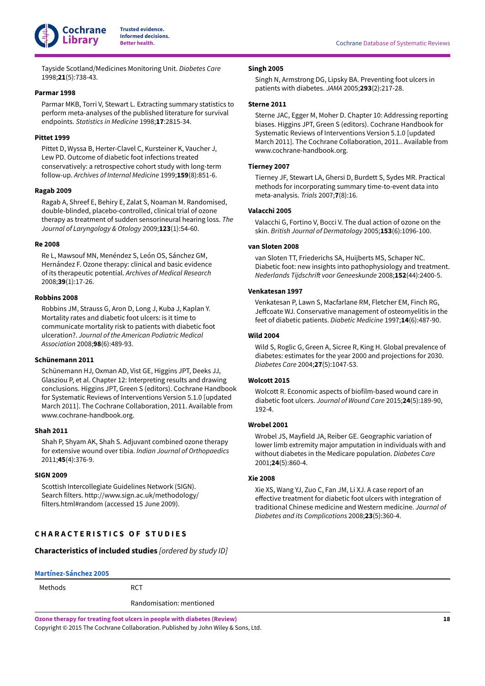![](_page_19_Picture_0.jpeg)

Tayside Scotland/Medicines Monitoring Unit. *Diabetes Care* 1998;**21**(5):738-43.

#### <span id="page-19-14"></span>**Parmar 1998**

Parmar MKB, Torri V, Stewart L. Extracting summary statistics to perform meta-analyses of the published literature for survival endpoints. *Statistics in Medicine* 1998;**17**:2815-34.

#### <span id="page-19-8"></span>**Pittet 1999**

Pittet D, Wyssa B, Herter-Clavel C, Kursteiner K, Vaucher J, Lew PD. Outcome of diabetic foot infections treated conservatively: a retrospective cohort study with long-term follow-up. *Archives of Internal Medicine* 1999;**159**(8):851-6.

#### <span id="page-19-11"></span>**Ragab 2009**

Ragab A, Shreef E, Behiry E, Zalat S, Noaman M. Randomised, double-blinded, placebo-controlled, clinical trial of ozone therapy as treatment of sudden sensorineural hearing loss. *The Journal of Laryngology & Otology* 2009;**123**(1):54-60.

#### <span id="page-19-12"></span>**Re 2008**

Re L, Mawsouf MN, Menéndez S, León OS, Sánchez GM, Hernández F. Ozone therapy: clinical and basic evidence of its therapeutic potential. *Archives of Medical Research* 2008;**39**(1):17-26.

#### <span id="page-19-6"></span>**Robbins 2008**

Robbins JM, Strauss G, Aron D, Long J, Kuba J, Kaplan Y. Mortality rates and diabetic foot ulcers: is it time to communicate mortality risk to patients with diabetic foot ulceration?. *Journal of the American Podiatric Medical Association* 2008;**98**(6):489-93.

#### <span id="page-19-17"></span>**Schünemann 2011**

Schünemann HJ, Oxman AD, Vist GE, Higgins JPT, Deeks JJ, Glasziou P, et al. Chapter 12: Interpreting results and drawing conclusions. Higgins JPT, Green S (editors). Cochrane Handbook for Systematic Reviews of Interventions Version 5.1.0 [updated March 2011]. The Cochrane Collaboration, 2011. Available from www.cochrane-handbook.org.

#### <span id="page-19-19"></span>**Shah 2011**

Shah P, Shyam AK, Shah S. Adjuvant combined ozone therapy for extensive wound over tibia. *Indian Journal of Orthopaedics* 2011;**45**(4):376-9.

#### <span id="page-19-13"></span>**SIGN 2009**

Scottish Intercollegiate Guidelines Network (SIGN). Search filters. http://www.sign.ac.uk/methodology/ filters.html#random (accessed 15 June 2009).

#### <span id="page-19-0"></span>**C H A R A C T E R I S T I C S O F S T U D I E S**

<span id="page-19-18"></span>**Characteristics of included studies** *[ordered by study ID]*

### <span id="page-19-2"></span>**Singh 2005**

Singh N, Armstrong DG, Lipsky BA. Preventing foot ulcers in patients with diabetes. *JAMA* 2005;**293**(2):217-28.

#### <span id="page-19-16"></span>**Sterne 2011**

Sterne JAC, Egger M, Moher D. Chapter 10: Addressing reporting biases. Higgins JPT, Green S (editors). Cochrane Handbook for Systematic Reviews of Interventions Version 5.1.0 [updated March 2011]. The Cochrane Collaboration, 2011.. Available from www.cochrane-handbook.org.

#### <span id="page-19-15"></span>**Tierney 2007**

Tierney JF, Stewart LA, Ghersi D, Burdett S, Sydes MR. Practical methods for incorporating summary time-to-event data into meta-analysis. *Trials* 2007;**7**(8):16.

#### <span id="page-19-10"></span>**Valacchi 2005**

Valacchi G, Fortino V, Bocci V. The dual action of ozone on the skin. *British Journal of Dermatology* 2005;**153**(6):1096-100.

#### <span id="page-19-7"></span>**van Sloten 2008**

van Sloten TT, Friederichs SA, Huijberts MS, Schaper NC. Diabetic foot: new insights into pathophysiology and treatment. *Nederlands Tijdschri5 voor Geneeskunde* 2008;**152**(44):2400-5.

#### <span id="page-19-9"></span>**Venkatesan 1997**

Venkatesan P, Lawn S, Macfarlane RM, Fletcher EM, Finch RG, Jeffcoate WJ. Conservative management of osteomyelitis in the feet of diabetic patients. *Diabetic Medicine* 1997;**14**(6):487-90.

#### <span id="page-19-1"></span>**Wild 2004**

Wild S, Roglic G, Green A, Sicree R, King H. Global prevalence of diabetes: estimates for the year 2000 and projections for 2030. *Diabetes Care* 2004;**27**(5):1047-53.

#### <span id="page-19-5"></span>**Wolcott 2015**

Wolcott R. Economic aspects of biofilm-based wound care in diabetic foot ulcers. *Journal of Wound Care* 2015;**24**(5):189-90, 192-4.

#### <span id="page-19-3"></span>**Wrobel 2001**

Wrobel JS, Mayfield JA, Reiber GE. Geographic variation of lower limb extremity major amputation in individuals with and without diabetes in the Medicare population. *Diabetes Care* 2001;**24**(5):860-4.

#### <span id="page-19-4"></span>**Xie 2008**

Xie XS, Wang YJ, Zuo C, Fan JM, Li XJ. A case report of an effective treatment for diabetic foot ulcers with integration of traditional Chinese medicine and Western medicine. *Journal of Diabetes and its Complications* 2008;**23**(5):360-4.

| <b>Martínez-Sánchez 2005</b> |  |
|------------------------------|--|
| <b>RCT</b>                   |  |
| Randomisation: mentioned     |  |
|                              |  |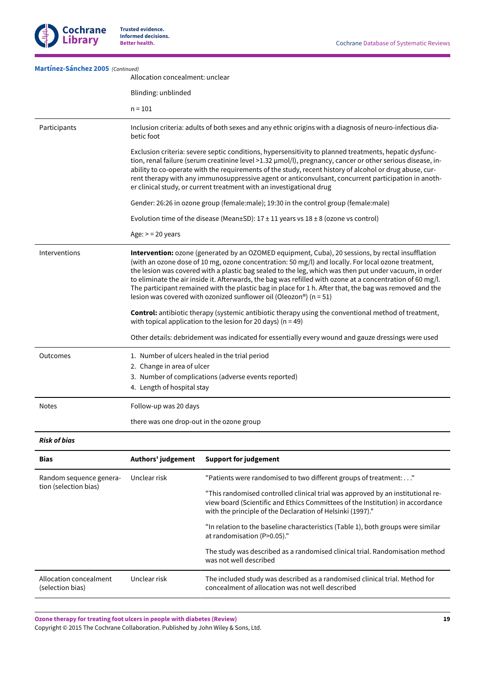| Martínez-Sánchez 2005 (Continued)          | Allocation concealment: unclear                          |                                                                                                                                                                                                                                                                                                                                                                                                                                                                                                                                                                                                                                    |
|--------------------------------------------|----------------------------------------------------------|------------------------------------------------------------------------------------------------------------------------------------------------------------------------------------------------------------------------------------------------------------------------------------------------------------------------------------------------------------------------------------------------------------------------------------------------------------------------------------------------------------------------------------------------------------------------------------------------------------------------------------|
|                                            | Blinding: unblinded                                      |                                                                                                                                                                                                                                                                                                                                                                                                                                                                                                                                                                                                                                    |
|                                            | $n = 101$                                                |                                                                                                                                                                                                                                                                                                                                                                                                                                                                                                                                                                                                                                    |
| Participants                               | betic foot                                               | Inclusion criteria: adults of both sexes and any ethnic origins with a diagnosis of neuro-infectious dia-                                                                                                                                                                                                                                                                                                                                                                                                                                                                                                                          |
|                                            |                                                          | Exclusion criteria: severe septic conditions, hypersensitivity to planned treatments, hepatic dysfunc-<br>tion, renal failure (serum creatinine level >1.32 µmol/l), pregnancy, cancer or other serious disease, in-<br>ability to co-operate with the requirements of the study, recent history of alcohol or drug abuse, cur-<br>rent therapy with any immunosuppressive agent or anticonvulsant, concurrent participation in anoth-<br>er clinical study, or current treatment with an investigational drug                                                                                                                     |
|                                            |                                                          | Gender: 26:26 in ozone group (female:male); 19:30 in the control group (female:male)                                                                                                                                                                                                                                                                                                                                                                                                                                                                                                                                               |
|                                            |                                                          | Evolution time of the disease (Mean $\pm$ SD): 17 $\pm$ 11 years vs 18 $\pm$ 8 (ozone vs control)                                                                                                                                                                                                                                                                                                                                                                                                                                                                                                                                  |
|                                            | Age: $> = 20$ years                                      |                                                                                                                                                                                                                                                                                                                                                                                                                                                                                                                                                                                                                                    |
| Interventions                              |                                                          | Intervention: ozone (generated by an OZOMED equipment, Cuba), 20 sessions, by rectal insufflation<br>(with an ozone dose of 10 mg, ozone concentration: 50 mg/l) and locally. For local ozone treatment,<br>the lesion was covered with a plastic bag sealed to the leg, which was then put under vacuum, in order<br>to eliminate the air inside it. Afterwards, the bag was refilled with ozone at a concentration of 60 mg/l.<br>The participant remained with the plastic bag in place for 1 h. After that, the bag was removed and the<br>lesion was covered with ozonized sunflower oil (Oleozon <sup>®</sup> ) ( $n = 51$ ) |
|                                            |                                                          | <b>Control:</b> antibiotic therapy (systemic antibiotic therapy using the conventional method of treatment,<br>with topical application to the lesion for 20 days) ( $n = 49$ )                                                                                                                                                                                                                                                                                                                                                                                                                                                    |
|                                            |                                                          | Other details: debridement was indicated for essentially every wound and gauze dressings were used                                                                                                                                                                                                                                                                                                                                                                                                                                                                                                                                 |
| Outcomes                                   | 2. Change in area of ulcer<br>4. Length of hospital stay | 1. Number of ulcers healed in the trial period<br>3. Number of complications (adverse events reported)                                                                                                                                                                                                                                                                                                                                                                                                                                                                                                                             |
| <b>Notes</b>                               | Follow-up was 20 days                                    |                                                                                                                                                                                                                                                                                                                                                                                                                                                                                                                                                                                                                                    |
|                                            | there was one drop-out in the ozone group                |                                                                                                                                                                                                                                                                                                                                                                                                                                                                                                                                                                                                                                    |
| <b>Risk of bias</b>                        |                                                          |                                                                                                                                                                                                                                                                                                                                                                                                                                                                                                                                                                                                                                    |
| Bias                                       | Authors' judgement                                       | <b>Support for judgement</b>                                                                                                                                                                                                                                                                                                                                                                                                                                                                                                                                                                                                       |
| Random sequence genera-                    | Unclear risk                                             | "Patients were randomised to two different groups of treatment:"                                                                                                                                                                                                                                                                                                                                                                                                                                                                                                                                                                   |
| tion (selection bias)                      |                                                          | "This randomised controlled clinical trial was approved by an institutional re-<br>view board (Scientific and Ethics Committees of the Institution) in accordance<br>with the principle of the Declaration of Helsinki (1997)."                                                                                                                                                                                                                                                                                                                                                                                                    |
|                                            |                                                          | "In relation to the baseline characteristics (Table 1), both groups were similar<br>at randomisation (P>0.05)."                                                                                                                                                                                                                                                                                                                                                                                                                                                                                                                    |
|                                            |                                                          | The study was described as a randomised clinical trial. Randomisation method<br>was not well described                                                                                                                                                                                                                                                                                                                                                                                                                                                                                                                             |
| Allocation concealment<br>(selection bias) | Unclear risk                                             | The included study was described as a randomised clinical trial. Method for<br>concealment of allocation was not well described                                                                                                                                                                                                                                                                                                                                                                                                                                                                                                    |

**Ozone therapy for treating foot ulcers in people with diabetes (Review)**

Copyright © 2015 The Cochrane Collaboration. Published by John Wiley & Sons, Ltd.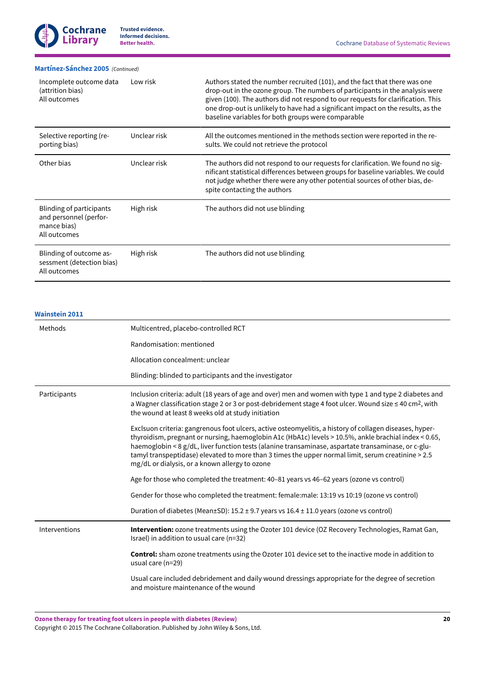### **[Martínez-Sánchez](#page-17-5) 2005**  *(Continued)*

| Incomplete outcome data<br>(attrition bias)<br>All outcomes                       | Low risk     | Authors stated the number recruited (101), and the fact that there was one<br>drop-out in the ozone group. The numbers of participants in the analysis were<br>given (100). The authors did not respond to our requests for clarification. This<br>one drop-out is unlikely to have had a significant impact on the results, as the<br>baseline variables for both groups were comparable |
|-----------------------------------------------------------------------------------|--------------|-------------------------------------------------------------------------------------------------------------------------------------------------------------------------------------------------------------------------------------------------------------------------------------------------------------------------------------------------------------------------------------------|
| Selective reporting (re-<br>porting bias)                                         | Unclear risk | All the outcomes mentioned in the methods section were reported in the re-<br>sults. We could not retrieve the protocol                                                                                                                                                                                                                                                                   |
| Other bias                                                                        | Unclear risk | The authors did not respond to our requests for clarification. We found no sig-<br>nificant statistical differences between groups for baseline variables. We could<br>not judge whether there were any other potential sources of other bias, de-<br>spite contacting the authors                                                                                                        |
| Blinding of participants<br>and personnel (perfor-<br>mance bias)<br>All outcomes | High risk    | The authors did not use blinding                                                                                                                                                                                                                                                                                                                                                          |
| Blinding of outcome as-<br>sessment (detection bias)<br>All outcomes              | High risk    | The authors did not use blinding                                                                                                                                                                                                                                                                                                                                                          |

| <b>Wainstein 2011</b> |                                                                                                                                                                                                                                                                                                                                                                                                                                                                                 |
|-----------------------|---------------------------------------------------------------------------------------------------------------------------------------------------------------------------------------------------------------------------------------------------------------------------------------------------------------------------------------------------------------------------------------------------------------------------------------------------------------------------------|
| Methods               | Multicentred, placebo-controlled RCT                                                                                                                                                                                                                                                                                                                                                                                                                                            |
|                       | Randomisation: mentioned                                                                                                                                                                                                                                                                                                                                                                                                                                                        |
|                       | Allocation concealment: unclear                                                                                                                                                                                                                                                                                                                                                                                                                                                 |
|                       | Blinding: blinded to participants and the investigator                                                                                                                                                                                                                                                                                                                                                                                                                          |
| Participants          | Inclusion criteria: adult (18 years of age and over) men and women with type 1 and type 2 diabetes and<br>a Wagner classification stage 2 or 3 or post-debridement stage 4 foot ulcer. Wound size $\leq 40$ cm <sup>2</sup> , with<br>the wound at least 8 weeks old at study initiation                                                                                                                                                                                        |
|                       | Exclsuon criteria: gangrenous foot ulcers, active osteomyelitis, a history of collagen diseases, hyper-<br>thyroidism, pregnant or nursing, haemoglobin A1c (HbA1c) levels > 10.5%, ankle brachial index < 0.65,<br>haemoglobin < 8 g/dL, liver function tests (alanine transaminase, aspartate transaminase, or c-glu-<br>tamyl transpeptidase) elevated to more than 3 times the upper normal limit, serum creatinine > 2.5<br>mg/dL or dialysis, or a known allergy to ozone |
|                       | Age for those who completed the treatment: 40-81 years vs 46-62 years (ozone vs control)                                                                                                                                                                                                                                                                                                                                                                                        |
|                       | Gender for those who completed the treatment: female: male: 13:19 vs 10:19 (ozone vs control)                                                                                                                                                                                                                                                                                                                                                                                   |
|                       | Duration of diabetes (Mean $\pm$ SD): 15.2 $\pm$ 9.7 years vs 16.4 $\pm$ 11.0 years (ozone vs control)                                                                                                                                                                                                                                                                                                                                                                          |
| Interventions         | Intervention: ozone treatments using the Ozoter 101 device (OZ Recovery Technologies, Ramat Gan,<br>Israel) in addition to usual care (n=32)                                                                                                                                                                                                                                                                                                                                    |
|                       | <b>Control:</b> sham ozone treatments using the Ozoter 101 device set to the inactive mode in addition to<br>usual care (n=29)                                                                                                                                                                                                                                                                                                                                                  |
|                       | Usual care included debridement and daily wound dressings appropriate for the degree of secretion<br>and moisture maintenance of the wound                                                                                                                                                                                                                                                                                                                                      |
|                       |                                                                                                                                                                                                                                                                                                                                                                                                                                                                                 |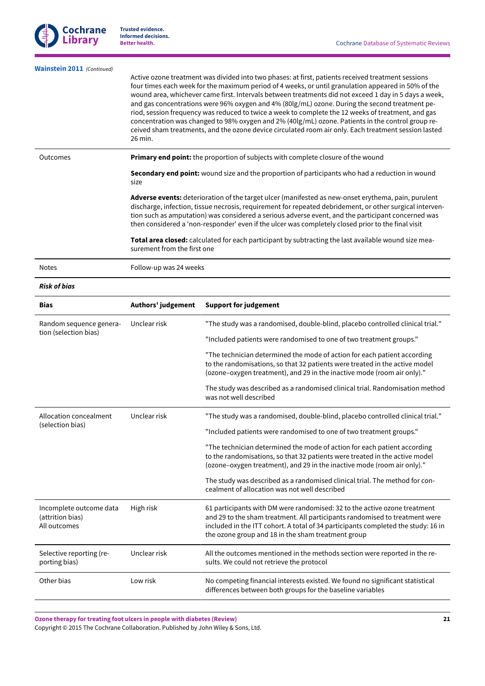![](_page_22_Picture_0.jpeg)

| <b>Wainstein 2011</b> (Continued) | Active ozone treatment was divided into two phases: at first, patients received treatment sessions<br>four times each week for the maximum period of 4 weeks, or until granulation appeared in 50% of the<br>wound area, whichever came first. Intervals between treatments did not exceed 1 day in 5 days a week,<br>and gas concentrations were 96% oxygen and 4% (80lg/mL) ozone. During the second treatment pe-<br>riod, session frequency was reduced to twice a week to complete the 12 weeks of treatment, and gas<br>concentration was changed to 98% oxygen and 2% (40lg/mL) ozone. Patients in the control group re-<br>ceived sham treatments, and the ozone device circulated room air only. Each treatment session lasted<br>26 min. |
|-----------------------------------|----------------------------------------------------------------------------------------------------------------------------------------------------------------------------------------------------------------------------------------------------------------------------------------------------------------------------------------------------------------------------------------------------------------------------------------------------------------------------------------------------------------------------------------------------------------------------------------------------------------------------------------------------------------------------------------------------------------------------------------------------|
| Outcomes                          | <b>Primary end point:</b> the proportion of subjects with complete closure of the wound<br><b>Secondary end point:</b> wound size and the proportion of participants who had a reduction in wound<br>size                                                                                                                                                                                                                                                                                                                                                                                                                                                                                                                                          |
|                                   | <b>Adverse events:</b> deterioration of the target ulcer (manifested as new-onset erythema, pain, purulent<br>discharge, infection, tissue necrosis, requirement for repeated debridement, or other surgical interven-<br>tion such as amputation) was considered a serious adverse event, and the participant concerned was<br>then considered a 'non-responder' even if the ulcer was completely closed prior to the final visit                                                                                                                                                                                                                                                                                                                 |
|                                   | Total area closed: calculated for each participant by subtracting the last available wound size mea-<br>surement from the first one                                                                                                                                                                                                                                                                                                                                                                                                                                                                                                                                                                                                                |
| <b>Notes</b>                      | Follow-up was 24 weeks                                                                                                                                                                                                                                                                                                                                                                                                                                                                                                                                                                                                                                                                                                                             |

#### *Risk of bias*

| <b>Bias</b>                                                 | Authors' judgement | <b>Support for judgement</b>                                                                                                                                                                                                                                                                        |
|-------------------------------------------------------------|--------------------|-----------------------------------------------------------------------------------------------------------------------------------------------------------------------------------------------------------------------------------------------------------------------------------------------------|
| Random sequence genera-                                     | Unclear risk       | "The study was a randomised, double-blind, placebo controlled clinical trial."                                                                                                                                                                                                                      |
| tion (selection bias)                                       |                    | "Included patients were randomised to one of two treatment groups."                                                                                                                                                                                                                                 |
|                                                             |                    | "The technician determined the mode of action for each patient according<br>to the randomisations, so that 32 patients were treated in the active model<br>(ozone-oxygen treatment), and 29 in the inactive mode (room air only)."                                                                  |
|                                                             |                    | The study was described as a randomised clinical trial. Randomisation method<br>was not well described                                                                                                                                                                                              |
| Allocation concealment<br>(selection bias)                  | Unclear risk       | "The study was a randomised, double-blind, placebo controlled clinical trial."                                                                                                                                                                                                                      |
|                                                             |                    | "Included patients were randomised to one of two treatment groups."                                                                                                                                                                                                                                 |
|                                                             |                    | "The technician determined the mode of action for each patient according<br>to the randomisations, so that 32 patients were treated in the active model<br>(ozone-oxygen treatment), and 29 in the inactive mode (room air only)."                                                                  |
|                                                             |                    | The study was described as a randomised clinical trial. The method for con-<br>cealment of allocation was not well described                                                                                                                                                                        |
| Incomplete outcome data<br>(attrition bias)<br>All outcomes | High risk          | 61 participants with DM were randomised: 32 to the active ozone treatment<br>and 29 to the sham treatment. All participants randomised to treatment were<br>included in the ITT cohort. A total of 34 participants completed the study: 16 in<br>the ozone group and 18 in the sham treatment group |
| Selective reporting (re-<br>porting bias)                   | Unclear risk       | All the outcomes mentioned in the methods section were reported in the re-<br>sults. We could not retrieve the protocol                                                                                                                                                                             |
| Other bias                                                  | Low risk           | No competing financial interests existed. We found no significant statistical<br>differences between both groups for the baseline variables                                                                                                                                                         |

**Ozone therapy for treating foot ulcers in people with diabetes (Review)**

Copyright © 2015 The Cochrane Collaboration. Published by John Wiley & Sons, Ltd.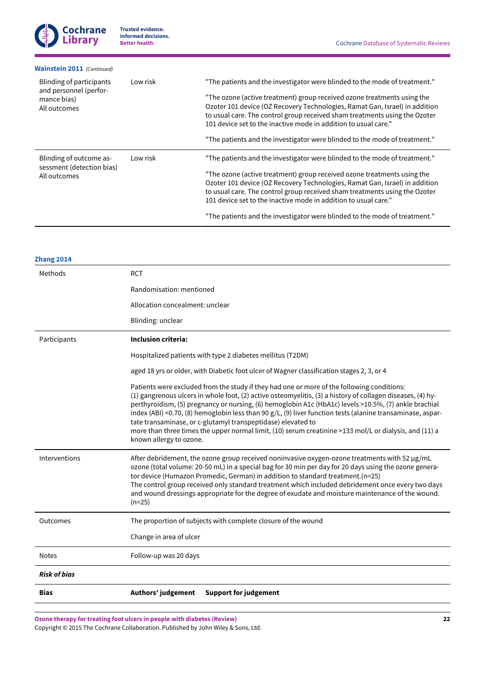![](_page_23_Picture_1.jpeg)

| <b>Wainstein 2011</b> (Continued)                                                        |          |                                                                                                                                                                                                                                                                                                                                                                                                                                                                     |
|------------------------------------------------------------------------------------------|----------|---------------------------------------------------------------------------------------------------------------------------------------------------------------------------------------------------------------------------------------------------------------------------------------------------------------------------------------------------------------------------------------------------------------------------------------------------------------------|
| <b>Blinding of participants</b><br>and personnel (perfor-<br>mance bias)<br>All outcomes | Low risk | "The patients and the investigator were blinded to the mode of treatment."<br>"The ozone (active treatment) group received ozone treatments using the<br>Ozoter 101 device (OZ Recovery Technologies, Ramat Gan, Israel) in addition<br>to usual care. The control group received sham treatments using the Ozoter<br>101 device set to the inactive mode in addition to usual care."<br>"The patients and the investigator were blinded to the mode of treatment." |
| Blinding of outcome as-<br>sessment (detection bias)<br>All outcomes                     | Low risk | "The patients and the investigator were blinded to the mode of treatment."<br>"The ozone (active treatment) group received ozone treatments using the<br>Ozoter 101 device (OZ Recovery Technologies, Ramat Gan, Israel) in addition<br>to usual care. The control group received sham treatments using the Ozoter<br>101 device set to the inactive mode in addition to usual care."<br>"The patients and the investigator were blinded to the mode of treatment." |

| <b>Zhang 2014</b>   |                                                                                                                                                                                                                                                                                                                                                                                                                                                                                                                                                                                                                                      |
|---------------------|--------------------------------------------------------------------------------------------------------------------------------------------------------------------------------------------------------------------------------------------------------------------------------------------------------------------------------------------------------------------------------------------------------------------------------------------------------------------------------------------------------------------------------------------------------------------------------------------------------------------------------------|
| Methods             | <b>RCT</b>                                                                                                                                                                                                                                                                                                                                                                                                                                                                                                                                                                                                                           |
|                     | Randomisation: mentioned                                                                                                                                                                                                                                                                                                                                                                                                                                                                                                                                                                                                             |
|                     | Allocation concealment: unclear                                                                                                                                                                                                                                                                                                                                                                                                                                                                                                                                                                                                      |
|                     | Blinding: unclear                                                                                                                                                                                                                                                                                                                                                                                                                                                                                                                                                                                                                    |
| Participants        | <b>Inclusion criteria:</b>                                                                                                                                                                                                                                                                                                                                                                                                                                                                                                                                                                                                           |
|                     | Hospitalized patients with type 2 diabetes mellitus (T2DM)                                                                                                                                                                                                                                                                                                                                                                                                                                                                                                                                                                           |
|                     | aged 18 yrs or older, with Diabetic foot ulcer of Wagner classification stages 2, 3, or 4                                                                                                                                                                                                                                                                                                                                                                                                                                                                                                                                            |
|                     | Patients were excluded from the study if they had one or more of the following conditions:<br>(1) gangrenous ulcers in whole foot, (2) active osteomyelitis, (3) a history of collagen diseases, (4) hy-<br>perthyroidism, (5) pregnancy or nursing, (6) hemoglobin A1c (HbA1c) levels >10.5%, (7) ankle brachial<br>index (ABI) <0.70, (8) hemoglobin less than 90 g/L, (9) liver function tests (alanine transaminase, aspar-<br>tate transaminase, or c-glutamyl transpeptidase) elevated to<br>more than three times the upper normal limit, (10) serum creatinine >133 mol/L or dialysis, and (11) a<br>known allergy to ozone. |
| Interventions       | After debridement, the ozone group received noninvasive oxygen-ozone treatments with 52 µg/mL<br>ozone (total volume: 20-50 mL) in a special bag for 30 min per day for 20 days using the ozone genera-<br>tor device (Humazon Promedic, German) in addition to standard treatment. (n=25)<br>The control group received only standard treatment which included debridement once every two days<br>and wound dressings appropriate for the degree of exudate and moisture maintenance of the wound.<br>$(n=25)$                                                                                                                      |
| Outcomes            | The proportion of subjects with complete closure of the wound                                                                                                                                                                                                                                                                                                                                                                                                                                                                                                                                                                        |
|                     | Change in area of ulcer                                                                                                                                                                                                                                                                                                                                                                                                                                                                                                                                                                                                              |
| <b>Notes</b>        | Follow-up was 20 days                                                                                                                                                                                                                                                                                                                                                                                                                                                                                                                                                                                                                |
| <b>Risk of bias</b> |                                                                                                                                                                                                                                                                                                                                                                                                                                                                                                                                                                                                                                      |
| Bias                | Authors' judgement<br><b>Support for judgement</b>                                                                                                                                                                                                                                                                                                                                                                                                                                                                                                                                                                                   |
|                     |                                                                                                                                                                                                                                                                                                                                                                                                                                                                                                                                                                                                                                      |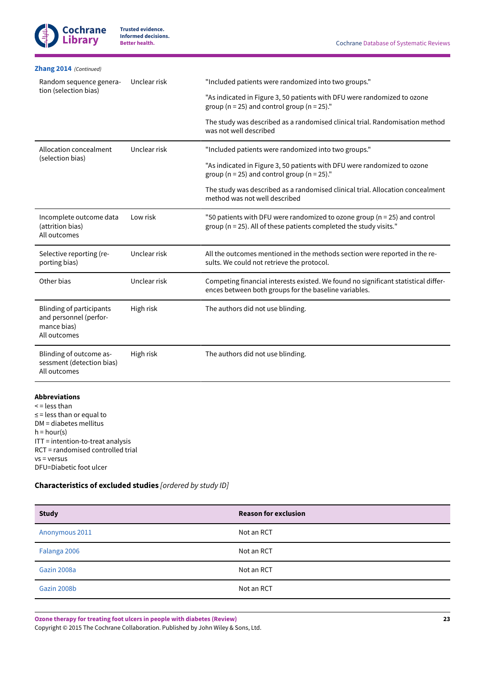| Zhang 2014 (Continued)                                                                   |              |                                                                                                                                                     |  |  |  |  |  |
|------------------------------------------------------------------------------------------|--------------|-----------------------------------------------------------------------------------------------------------------------------------------------------|--|--|--|--|--|
| Random sequence genera-<br>tion (selection bias)                                         | Unclear risk | "Included patients were randomized into two groups."                                                                                                |  |  |  |  |  |
|                                                                                          |              | "As indicated in Figure 3, 50 patients with DFU were randomized to ozone<br>group ( $n = 25$ ) and control group ( $n = 25$ )."                     |  |  |  |  |  |
|                                                                                          |              | The study was described as a randomised clinical trial. Randomisation method<br>was not well described                                              |  |  |  |  |  |
| Allocation concealment                                                                   | Unclear risk | "Included patients were randomized into two groups."                                                                                                |  |  |  |  |  |
| (selection bias)                                                                         |              | "As indicated in Figure 3, 50 patients with DFU were randomized to ozone<br>group ( $n = 25$ ) and control group ( $n = 25$ )."                     |  |  |  |  |  |
|                                                                                          |              | The study was described as a randomised clinical trial. Allocation concealment<br>method was not well described                                     |  |  |  |  |  |
| Incomplete outcome data<br>(attrition bias)<br>All outcomes                              | Low risk     | "50 patients with DFU were randomized to ozone group ( $n = 25$ ) and control<br>group (n = 25). All of these patients completed the study visits." |  |  |  |  |  |
| Selective reporting (re-<br>porting bias)                                                | Unclear risk | All the outcomes mentioned in the methods section were reported in the re-<br>sults. We could not retrieve the protocol.                            |  |  |  |  |  |
| Other bias                                                                               | Unclear risk | Competing financial interests existed. We found no significant statistical differ-<br>ences between both groups for the baseline variables.         |  |  |  |  |  |
| <b>Blinding of participants</b><br>and personnel (perfor-<br>mance bias)<br>All outcomes | High risk    | The authors did not use blinding.                                                                                                                   |  |  |  |  |  |
| Blinding of outcome as-<br>sessment (detection bias)<br>All outcomes                     | High risk    | The authors did not use blinding.                                                                                                                   |  |  |  |  |  |
| <b>Abbreviations</b><br>$=$ less than<br>c = loce than or oqual to                       |              |                                                                                                                                                     |  |  |  |  |  |

≤ = less than or equal to DM = diabetes mellitus  $h = hour(s)$ ITT = intention-to-treat analysis RCT = randomised controlled trial vs = versus DFU=Diabetic foot ulcer

### <span id="page-24-0"></span>**Characteristics of excluded studies** *[ordered by study ID]*

| <b>Study</b>   | <b>Reason for exclusion</b> |
|----------------|-----------------------------|
| Anonymous 2011 | Not an RCT                  |
| Falanga 2006   | Not an RCT                  |
| Gazin 2008a    | Not an RCT                  |
| Gazin 2008b    | Not an RCT                  |

**Ozone therapy for treating foot ulcers in people with diabetes (Review)**

Copyright © 2015 The Cochrane Collaboration. Published by John Wiley & Sons, Ltd.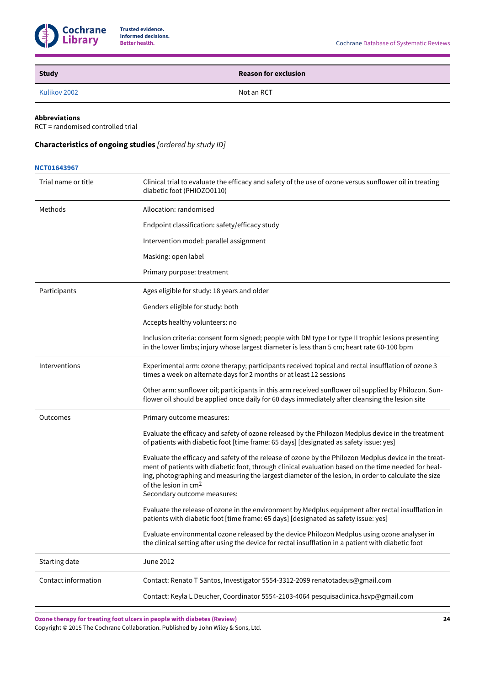![](_page_25_Picture_0.jpeg)

**Study Reason for exclusion**

[Kulikov 2002](#page-17-13) Not an RCT

### **Abbreviations**

RCT = randomised controlled trial

### **Characteristics of ongoing studies** *[ordered by study ID]*

#### **[NCT01643967](#page-17-14)**

| Trial name or title | Clinical trial to evaluate the efficacy and safety of the use of ozone versus sunflower oil in treating<br>diabetic foot (PHIOZO0110)                                                                                                                                                                                                                                                  |
|---------------------|----------------------------------------------------------------------------------------------------------------------------------------------------------------------------------------------------------------------------------------------------------------------------------------------------------------------------------------------------------------------------------------|
| Methods             | Allocation: randomised                                                                                                                                                                                                                                                                                                                                                                 |
|                     | Endpoint classification: safety/efficacy study                                                                                                                                                                                                                                                                                                                                         |
|                     | Intervention model: parallel assignment                                                                                                                                                                                                                                                                                                                                                |
|                     | Masking: open label                                                                                                                                                                                                                                                                                                                                                                    |
|                     | Primary purpose: treatment                                                                                                                                                                                                                                                                                                                                                             |
| Participants        | Ages eligible for study: 18 years and older                                                                                                                                                                                                                                                                                                                                            |
|                     | Genders eligible for study: both                                                                                                                                                                                                                                                                                                                                                       |
|                     | Accepts healthy volunteers: no                                                                                                                                                                                                                                                                                                                                                         |
|                     | Inclusion criteria: consent form signed; people with DM type I or type II trophic lesions presenting<br>in the lower limbs; injury whose largest diameter is less than 5 cm; heart rate 60-100 bpm                                                                                                                                                                                     |
| Interventions       | Experimental arm: ozone therapy; participants received topical and rectal insufflation of ozone 3<br>times a week on alternate days for 2 months or at least 12 sessions                                                                                                                                                                                                               |
|                     | Other arm: sunflower oil; participants in this arm received sunflower oil supplied by Philozon. Sun-<br>flower oil should be applied once daily for 60 days immediately after cleansing the lesion site                                                                                                                                                                                |
| Outcomes            | Primary outcome measures:                                                                                                                                                                                                                                                                                                                                                              |
|                     | Evaluate the efficacy and safety of ozone released by the Philozon Medplus device in the treatment<br>of patients with diabetic foot [time frame: 65 days] [designated as safety issue: yes]                                                                                                                                                                                           |
|                     | Evaluate the efficacy and safety of the release of ozone by the Philozon Medplus device in the treat-<br>ment of patients with diabetic foot, through clinical evaluation based on the time needed for heal-<br>ing, photographing and measuring the largest diameter of the lesion, in order to calculate the size<br>of the lesion in cm <sup>2</sup><br>Secondary outcome measures: |
|                     | Evaluate the release of ozone in the environment by Medplus equipment after rectal insufflation in<br>patients with diabetic foot [time frame: 65 days] [designated as safety issue: yes]                                                                                                                                                                                              |
|                     | Evaluate environmental ozone released by the device Philozon Medplus using ozone analyser in<br>the clinical setting after using the device for rectal insufflation in a patient with diabetic foot                                                                                                                                                                                    |
| Starting date       | <b>June 2012</b>                                                                                                                                                                                                                                                                                                                                                                       |
| Contact information | Contact: Renato T Santos, Investigator 5554-3312-2099 renatotadeus@gmail.com                                                                                                                                                                                                                                                                                                           |
|                     | Contact: Keyla L Deucher, Coordinator 5554-2103-4064 pesquisaclinica.hsvp@gmail.com                                                                                                                                                                                                                                                                                                    |

**Ozone therapy for treating foot ulcers in people with diabetes (Review)**

Copyright © 2015 The Cochrane Collaboration. Published by John Wiley & Sons, Ltd.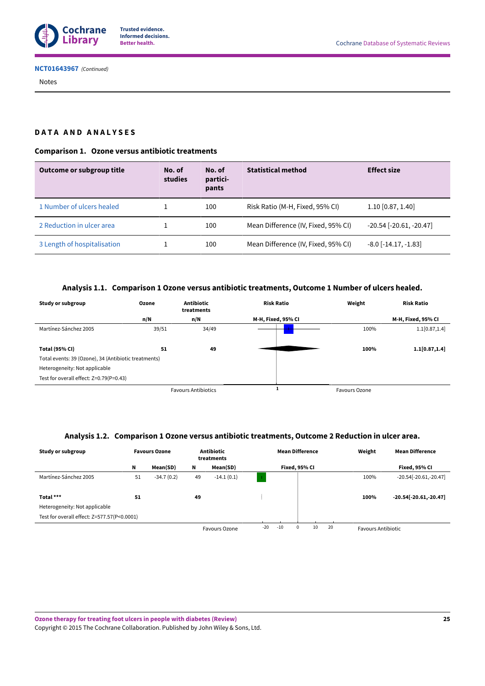![](_page_26_Picture_1.jpeg)

**[NCT01643967](#page-17-14)**  *(Continued)*

Notes

### <span id="page-26-0"></span>**DATA AND ANALYSES**

### **Comparison 1. Ozone versus antibiotic treatments**

| Outcome or subgroup title   | No. of<br>studies | No. of<br>partici-<br>pants | <b>Statistical method</b>           | <b>Effect size</b>          |
|-----------------------------|-------------------|-----------------------------|-------------------------------------|-----------------------------|
| 1 Number of ulcers healed   |                   | 100                         | Risk Ratio (M-H, Fixed, 95% CI)     | $1.10$ [0.87, 1.40]         |
| 2 Reduction in ulcer area   |                   | 100                         | Mean Difference (IV, Fixed, 95% CI) | $-20.54$ $[-20.61, -20.47]$ |
| 3 Length of hospitalisation |                   | 100                         | Mean Difference (IV, Fixed, 95% CI) | $-8.0$ $[-14.17, -1.83]$    |

### **Analysis 1.1. Comparison 1 Ozone versus antibiotic treatments, Outcome 1 Number of ulcers healed.**

<span id="page-26-1"></span>

| Study or subgroup                                    | Ozone | <b>Antibiotic</b><br>treatments | <b>Risk Ratio</b>  | Weight        | <b>Risk Ratio</b>  |
|------------------------------------------------------|-------|---------------------------------|--------------------|---------------|--------------------|
|                                                      | n/N   | n/N                             | M-H, Fixed, 95% CI |               | M-H, Fixed, 95% CI |
| Martínez-Sánchez 2005                                | 39/51 | 34/49                           |                    | 100%          | 1.1[0.87, 1.4]     |
| <b>Total (95% CI)</b>                                | 51    | 49                              |                    | 100%          | 1.1[0.87, 1.4]     |
| Total events: 39 (Ozone), 34 (Antibiotic treatments) |       |                                 |                    |               |                    |
| Heterogeneity: Not applicable                        |       |                                 |                    |               |                    |
| Test for overall effect: Z=0.79(P=0.43)              |       |                                 |                    |               |                    |
|                                                      |       | <b>Favours Antibiotics</b>      |                    | Favours Ozone |                    |

### **Analysis 1.2. Comparison 1 Ozone versus antibiotic treatments, Outcome 2 Reduction in ulcer area.**

<span id="page-26-2"></span>

| Study or subgroup                           |    | <b>Favours Ozone</b> | <b>Antibiotic</b><br>treatments |               |                | <b>Mean Difference</b> |    | Weight                    | <b>Mean Difference</b>  |
|---------------------------------------------|----|----------------------|---------------------------------|---------------|----------------|------------------------|----|---------------------------|-------------------------|
|                                             | N  | Mean(SD)             | Ν                               | Mean(SD)      |                | Fixed, 95% CI          |    |                           | Fixed, 95% CI           |
| Martínez-Sánchez 2005                       | 51 | $-34.7(0.2)$         | 49                              | $-14.1(0.1)$  |                |                        |    | 100%                      | $-20.54[-20.61,-20.47]$ |
|                                             |    |                      |                                 |               |                |                        |    |                           |                         |
| Total ***                                   | 51 |                      | 49                              |               |                |                        |    | 100%                      | $-20.54[-20.61,-20.47]$ |
| Heterogeneity: Not applicable               |    |                      |                                 |               |                |                        |    |                           |                         |
| Test for overall effect: Z=577.57(P<0.0001) |    |                      |                                 |               |                |                        |    |                           |                         |
|                                             |    |                      |                                 | Favours Ozone | $-20$<br>$-10$ | 10<br>$\Omega$         | 20 | <b>Favours Antibiotic</b> |                         |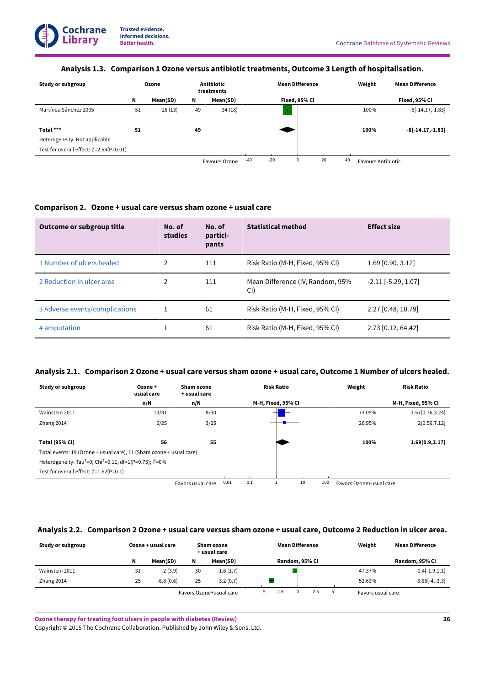### **Analysis 1.3. Comparison 1 Ozone versus antibiotic treatments, Outcome 3 Length of hospitalisation.**

<span id="page-27-0"></span>

| Study or subgroup                       |    | Ozone    | Antibiotic<br>treatments |               | <b>Mean Difference</b> |       |               |    | Weight | <b>Mean Difference</b>    |                    |
|-----------------------------------------|----|----------|--------------------------|---------------|------------------------|-------|---------------|----|--------|---------------------------|--------------------|
|                                         | N  | Mean(SD) | N                        | Mean(SD)      |                        |       | Fixed, 95% CI |    |        |                           | Fixed, 95% CI      |
| Martínez-Sánchez 2005                   | 51 | 26(13)   | 49                       | 34(18)        |                        |       |               |    |        | 100%                      | $-8[-14.17,-1.83]$ |
|                                         |    |          |                          |               |                        |       |               |    |        |                           |                    |
| Total ***                               | 51 |          | 49                       |               |                        |       |               |    |        | 100%                      | $-8[-14.17,-1.83]$ |
| Heterogeneity: Not applicable           |    |          |                          |               |                        |       |               |    |        |                           |                    |
| Test for overall effect: Z=2.54(P=0.01) |    |          |                          |               |                        |       |               |    |        |                           |                    |
|                                         |    |          |                          | Favours Ozone | $-40$                  | $-20$ | 0             | 20 | 40     | <b>Favours Antibiotic</b> |                    |

### **Comparison 2. Ozone + usual care versus sham ozone + usual care**

| Outcome or subgroup title      | No. of<br>studies | No. of<br>partici-<br>pants | <b>Statistical method</b>              | <b>Effect size</b>        |  |  |
|--------------------------------|-------------------|-----------------------------|----------------------------------------|---------------------------|--|--|
| 1 Number of ulcers healed      |                   | 111                         | Risk Ratio (M-H, Fixed, 95% CI)        | $1.69$ [0.90, 3.17]       |  |  |
| 2 Reduction in ulcer area      |                   | 111                         | Mean Difference (IV, Random, 95%<br>CI | $-2.11$ [ $-5.29$ , 1.07] |  |  |
| 3 Adverse events/complications |                   | 61                          | Risk Ratio (M-H, Fixed, 95% CI)        | 2.27 [0.48, 10.79]        |  |  |
| 4 amputation                   |                   | 61                          | Risk Ratio (M-H, Fixed, 95% CI)        | 2.73 [0.12, 64.42]        |  |  |

### <span id="page-27-1"></span>Analysis 2.1. Comparison 2 Ozone + usual care versus sham ozone + usual care, Outcome 1 Number of ulcers healed.

| Study or subgroup                                                                   | Ozone +<br>usual care | Sham ozone<br>+ usual care |      |     | <b>Risk Ratio</b>  |    |     | Weight                  | <b>Risk Ratio</b>  |
|-------------------------------------------------------------------------------------|-----------------------|----------------------------|------|-----|--------------------|----|-----|-------------------------|--------------------|
|                                                                                     | n/N                   | n/N                        |      |     | M-H, Fixed, 95% CI |    |     |                         | M-H, Fixed, 95% CI |
| Wainstein 2011                                                                      | 13/31                 | 8/30                       |      |     |                    |    |     | 73.05%                  | 1.57[0.76,3.24]    |
| Zhang 2014                                                                          | 6/25                  | 3/25                       |      |     |                    |    |     | 26.95%                  | 2[0.56,7.12]       |
|                                                                                     |                       |                            |      |     |                    |    |     |                         |                    |
| <b>Total (95% CI)</b>                                                               | 56                    | 55                         |      |     |                    |    |     | 100%                    | 1.69[0.9, 3.17]    |
| Total events: 19 (Ozone + usual care), 11 (Sham ozone + usual care)                 |                       |                            |      |     |                    |    |     |                         |                    |
| Heterogeneity: Tau <sup>2</sup> =0; Chi <sup>2</sup> =0.11, df=1(P=0.75); $1^2$ =0% |                       |                            |      |     |                    |    |     |                         |                    |
| Test for overall effect: Z=1.62(P=0.1)                                              |                       |                            |      |     |                    |    |     |                         |                    |
|                                                                                     |                       | Favors usual care          | 0.01 | 0.1 |                    | 10 | 100 | Favors Ozone+usual care |                    |

### <span id="page-27-2"></span>Analysis 2.2. Comparison 2 Ozone + usual care versus sham ozone + usual care, Outcome 2 Reduction in ulcer area.

| Study or subgroup |    | Ozone + usual care | Sham ozone<br>+ usual care |                         | <b>Mean Difference</b> | Weight            | <b>Mean Difference</b> |
|-------------------|----|--------------------|----------------------------|-------------------------|------------------------|-------------------|------------------------|
|                   | N  | Mean(SD)           | N                          | Mean(SD)                | Random, 95% CI         |                   | Random, 95% CI         |
| Wainstein 2011    | 31 | $-2(3.9)$          | 30                         | $-1.6(1.7)$             |                        | 47.37%            | $-0.4[-1.9,1.1]$       |
| Zhang 2014        | 25 | $-6.8(0.6)$        | 25                         | $-3.2(0.7)$             |                        | 52.63%            | $-3.65[-4,-3.3]$       |
|                   |    |                    |                            | Favors Ozone+usual care | 2.5<br>$-2.5$<br>-5    | Favors usual care |                        |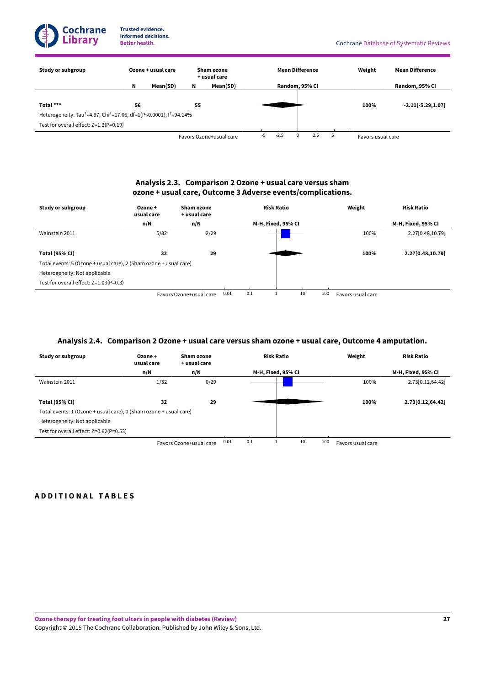![](_page_28_Picture_0.jpeg)

| Study or subgroup                                                                                      | Ozone + usual care |          | Sham ozone<br>+ usual care |                         |      | <b>Mean Difference</b> |          |     | Weight            | <b>Mean Difference</b> |
|--------------------------------------------------------------------------------------------------------|--------------------|----------|----------------------------|-------------------------|------|------------------------|----------|-----|-------------------|------------------------|
|                                                                                                        | N                  | Mean(SD) | N                          | Mean(SD)                |      | Random, 95% CI         |          |     |                   | Random, 95% CI         |
|                                                                                                        |                    |          |                            |                         |      |                        |          |     |                   |                        |
| Total ***                                                                                              | 56                 |          | 55                         |                         |      |                        |          |     | 100%              | $-2.11[-5.29,1.07]$    |
| Heterogeneity: Tau <sup>2</sup> =4.97; Chi <sup>2</sup> =17.06, df=1(P<0.0001); l <sup>2</sup> =94.14% |                    |          |                            |                         |      |                        |          |     |                   |                        |
| Test for overall effect: Z=1.3(P=0.19)                                                                 |                    |          |                            |                         |      |                        |          |     |                   |                        |
|                                                                                                        |                    |          |                            | Favors Ozone+usual care | $-5$ | $-2.5$                 | $\Omega$ | 2.5 | Favors usual care |                        |

### **Analysis 2.3. Comparison 2 Ozone + usual care versus sham ozone + usual care, Outcome 3 Adverse events/complications.**

<span id="page-28-0"></span>

| Study or subgroup                                                 | Ozone +<br>usual care | Sham ozone<br>+ usual care |      |     | <b>Risk Ratio</b>  |    |     | Weight            | <b>Risk Ratio</b>  |
|-------------------------------------------------------------------|-----------------------|----------------------------|------|-----|--------------------|----|-----|-------------------|--------------------|
|                                                                   | n/N                   | n/N                        |      |     | M-H, Fixed, 95% CI |    |     |                   | M-H, Fixed, 95% CI |
| Wainstein 2011                                                    | 5/32                  | 2/29                       |      |     |                    |    |     | 100%              | 2.27[0.48,10.79]   |
| <b>Total (95% CI)</b>                                             | 32                    | 29                         |      |     |                    |    |     | 100%              | 2.27[0.48,10.79]   |
| Total events: 5 (Ozone + usual care), 2 (Sham ozone + usual care) |                       |                            |      |     |                    |    |     |                   |                    |
| Heterogeneity: Not applicable                                     |                       |                            |      |     |                    |    |     |                   |                    |
| Test for overall effect: Z=1.03(P=0.3)                            |                       |                            |      |     |                    |    |     |                   |                    |
|                                                                   |                       | Favors Ozone+usual care    | 0.01 | 0.1 |                    | 10 | 100 | Favors usual care |                    |

### **Analysis 2.4. Comparison 2 Ozone + usual care versus sham ozone + usual care, Outcome 4 amputation.**

<span id="page-28-1"></span>

| Study or subgroup                                                 | Ozone +<br>usual care | Sham ozone<br>+ usual care |      |     | <b>Risk Ratio</b>  |    |     | Weight            | <b>Risk Ratio</b>  |  |
|-------------------------------------------------------------------|-----------------------|----------------------------|------|-----|--------------------|----|-----|-------------------|--------------------|--|
|                                                                   | n/N                   | n/N                        |      |     | M-H, Fixed, 95% CI |    |     |                   | M-H, Fixed, 95% CI |  |
| Wainstein 2011                                                    | 1/32                  | 0/29                       |      |     |                    |    |     | 100%              | 2.73 [0.12,64.42]  |  |
|                                                                   |                       |                            |      |     |                    |    |     |                   |                    |  |
| <b>Total (95% CI)</b>                                             | 32                    | 29                         |      |     |                    |    |     | 100%              | 2.73 [0.12,64.42]  |  |
| Total events: 1 (Ozone + usual care), 0 (Sham ozone + usual care) |                       |                            |      |     |                    |    |     |                   |                    |  |
| Heterogeneity: Not applicable                                     |                       |                            |      |     |                    |    |     |                   |                    |  |
| Test for overall effect: Z=0.62(P=0.53)                           |                       |                            |      |     |                    |    |     |                   |                    |  |
|                                                                   |                       | Favors Ozone+usual care    | 0.01 | 0.1 |                    | 10 | 100 | Favors usual care |                    |  |

<span id="page-28-2"></span>**A D D I T I O N A L T A B L E S**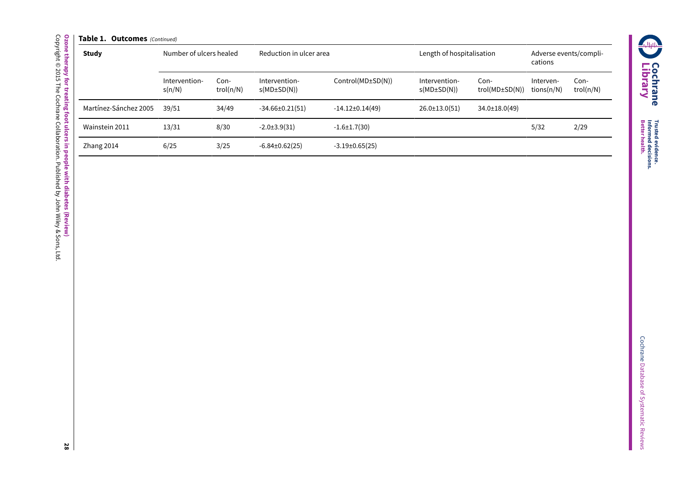<span id="page-29-0"></span>

| <b>Table 1. Outcomes</b> (Continued) |                         |                   |                                   |                        |                                   |                                   |                            |                   |  |  |
|--------------------------------------|-------------------------|-------------------|-----------------------------------|------------------------|-----------------------------------|-----------------------------------|----------------------------|-------------------|--|--|
| <b>Study</b>                         | Number of ulcers healed |                   | Reduction in ulcer area           |                        | Length of hospitalisation         | Adverse events/compli-<br>cations |                            |                   |  |  |
|                                      | Intervention-<br>s(n/N) | Con-<br>trol(n/N) | Intervention-<br>$s(MD\pm SD(N))$ | $Control(MD\pm SD(N))$ | Intervention-<br>$s(MD\pm SD(N))$ | Con-<br>$trol(MD\pm SD(N))$       | Interven-<br>tions $(n/N)$ | Con-<br>trol(n/N) |  |  |
| Martínez-Sánchez 2005                | 39/51                   | 34/49             | $-34.66 \pm 0.21(51)$             | $-14.12\pm0.14(49)$    | $26.0 \pm 13.0(51)$               | $34.0 \pm 18.0 (49)$              |                            |                   |  |  |
| Wainstein 2011                       | 13/31                   | 8/30              | $-2.0 \pm 3.9(31)$                | $-1.6{\pm}1.7(30)$     |                                   |                                   | 5/32                       | 2/29              |  |  |
| Zhang 2014                           | 6/25                    | 3/25              | $-6.84\pm0.62(25)$                | $-3.19\pm0.65(25)$     |                                   |                                   |                            |                   |  |  |

**C o c hra n e Lib r a r y**

**Trusted Better**

**Informed**

**decisions. health.**

**evidence.**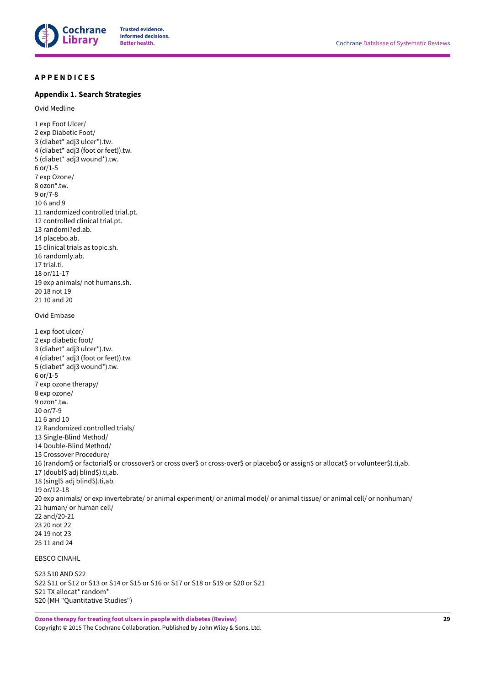![](_page_30_Picture_0.jpeg)

#### <span id="page-30-0"></span>**A P P E N D I C E S**

### <span id="page-30-1"></span>**Appendix 1.Search Strategies**

Ovid Medline

1 exp Foot Ulcer/ 2 exp Diabetic Foot/ 3 (diabet\* adj3 ulcer\*).tw. 4 (diabet\* adj3 (foot or feet)).tw. 5 (diabet\* adj3 wound\*).tw. 6 or/1-5 7 exp Ozone/ 8 ozon\*.tw. 9 or/7-8 10 6 and 9 11 randomized controlled trial.pt. 12 controlled clinical trial.pt. 13 randomi?ed.ab. 14 placebo.ab. 15 clinical trials as topic.sh. 16 randomly.ab. 17 trial.ti. 18 or/11-17 19 exp animals/ not humans.sh. 20 18 not 19 21 10 and 20 Ovid Embase 1 exp foot ulcer/ 2 exp diabetic foot/ 3 (diabet\* adj3 ulcer\*).tw. 4 (diabet\* adj3 (foot or feet)).tw. 5 (diabet\* adj3 wound\*).tw. 6 or/1-5 7 exp ozone therapy/ 8 exp ozone/ 9 ozon\*.tw. 10 or/7-9 11 6 and 10 12 Randomized controlled trials/ 13 Single-Blind Method/ 14 Double-Blind Method/ 15 Crossover Procedure/ 16 (random\$ or factorial\$ or crossover\$ or cross over\$ or cross-over\$ or placebo\$ or assign\$ or allocat\$ or volunteer\$).ti,ab. 17 (doubl\$ adj blind\$).ti,ab. 18 (singl\$ adj blind\$).ti,ab. 19 or/12-18 20 exp animals/ or exp invertebrate/ or animal experiment/ or animal model/ or animal tissue/ or animal cell/ or nonhuman/ 21 human/ or human cell/ 22 and/20-21 23 20 not 22 24 19 not 23 25 11 and 24 EBSCO CINAHL S23 S10 AND S22

S22 S11 or S12 or S13 or S14 or S15 or S16 or S17 or S18 or S19 or S20 or S21 S21 TX allocat\* random\* S20 (MH "Quantitative Studies")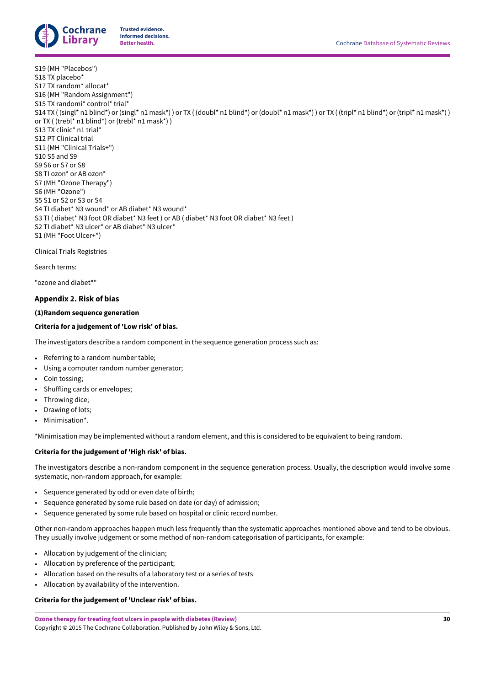![](_page_31_Picture_1.jpeg)

S19 (MH "Placebos") S18 TX placebo\* S17 TX random\* allocat\* S16 (MH "Random Assignment") S15 TX randomi\* control\* trial\* S14 TX ((singl\* n1 blind\*) or(singl\* n1 mask\*)) or TX ((doubl\* n1 blind\*) or (doubl\* n1 mask\*)) or TX ((tripl\* n1 blind\*) or (tripl\* n1 mask\*)) or TX ( (trebl\* n1 blind\*) or (trebl\* n1 mask\*) ) S13 TX clinic\* n1 trial\* S12 PT Clinical trial S11 (MH "Clinical Trials+") S10 S5 and S9 S9 S6 or S7 or S8 S8 TI ozon\* or AB ozon\* S7 (MH "Ozone Therapy") S6 (MH "Ozone") S5 S1 or S2 or S3 or S4 S4 TI diabet\* N3 wound\* or AB diabet\* N3 wound\* S3 TI ( diabet\* N3 foot OR diabet\* N3 feet ) or AB ( diabet\* N3 foot OR diabet\* N3 feet ) S2 TI diabet\* N3 ulcer\* or AB diabet\* N3 ulcer\* S1 (MH "Foot Ulcer+")

Clinical Trials Registries

Search terms:

"ozone and diabet\*"

### <span id="page-31-0"></span>**Appendix 2. Risk of bias**

#### **(1)Random sequence generation**

#### **Criteria for a judgement of 'Low risk' of bias.**

The investigators describe a random component in the sequence generation process such as:

- Referring to a random number table;
- Using a computer random number generator;
- Coin tossing;
- Shuffling cards or envelopes;
- Throwing dice;
- Drawing of lots;
- Minimisation\*.

\*Minimisation may be implemented without a random element, and this is considered to be equivalent to being random.

### **Criteria for the judgement of 'High risk' of bias.**

The investigators describe a non-random component in the sequence generation process. Usually, the description would involve some systematic, non-random approach, for example:

- Sequence generated by odd or even date of birth;
- Sequence generated by some rule based on date (or day) of admission;
- Sequence generated by some rule based on hospital or clinic record number.

Other non-random approaches happen much less frequently than the systematic approaches mentioned above and tend to be obvious. They usually involve judgement or some method of non-random categorisation of participants, for example:

- Allocation by judgement of the clinician;
- Allocation by preference of the participant;
- Allocation based on the results of a laboratory test or a series of tests
- Allocation by availability of the intervention.

### **Criteria for the judgement of 'Unclear risk' of bias.**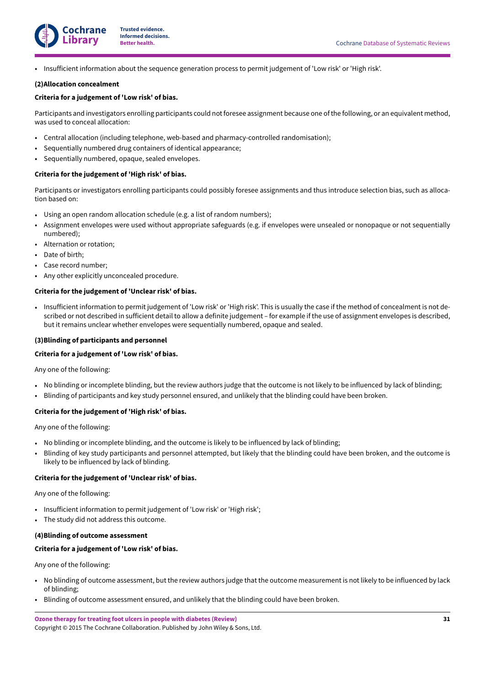![](_page_32_Picture_1.jpeg)

• Insufficient information about the sequence generation process to permit judgement of 'Low risk' or 'High risk'.

### **(2)Allocation concealment**

### **Criteria for a judgement of 'Low risk' of bias.**

Participants and investigators enrolling participants could notforesee assignment because one ofthe following, or an equivalent method, was used to conceal allocation:

- Central allocation (including telephone, web-based and pharmacy-controlled randomisation);
- Sequentially numbered drug containers of identical appearance;
- Sequentially numbered, opaque, sealed envelopes.

#### **Criteria for the judgement of 'High risk' of bias.**

Participants or investigators enrolling participants could possibly foresee assignments and thus introduce selection bias, such as allocation based on:

- Using an open random allocation schedule (e.g. a list of random numbers);
- Assignment envelopes were used without appropriate safeguards (e.g. if envelopes were unsealed or nonopaque or not sequentially numbered);
- Alternation or rotation;
- Date of birth;
- Case record number;
- Any other explicitly unconcealed procedure.

### **Criteria for the judgement of 'Unclear risk' of bias.**

• Insufficient information to permit judgement of 'Low risk' or 'High risk'. This is usually the case if the method of concealment is not described or not described in sufficient detail to allow a definite judgement – for example if the use of assignment envelopes is described, but it remains unclear whether envelopes were sequentially numbered, opaque and sealed.

#### **(3)Blinding of participants and personnel**

#### **Criteria for a judgement of 'Low risk' of bias.**

Any one of the following:

- No blinding or incomplete blinding, but the review authors judge that the outcome is not likely to be influenced by lack of blinding;
- Blinding of participants and key study personnel ensured, and unlikely that the blinding could have been broken.

### **Criteria for the judgement of 'High risk' of bias.**

Any one of the following:

- No blinding or incomplete blinding, and the outcome is likely to be influenced by lack of blinding;
- Blinding of key study participants and personnel attempted, but likely that the blinding could have been broken, and the outcome is likely to be influenced by lack of blinding.

### **Criteria for the judgement of 'Unclear risk' of bias.**

Any one of the following:

- Insufficient information to permit judgement of 'Low risk' or 'High risk';
- The study did not address this outcome.

### **(4)Blinding of outcome assessment**

### **Criteria for a judgement of 'Low risk' of bias.**

Any one of the following:

- No blinding of outcome assessment, but the review authors judge that the outcome measurement is not likely to be influenced by lack of blinding;
- Blinding of outcome assessment ensured, and unlikely that the blinding could have been broken.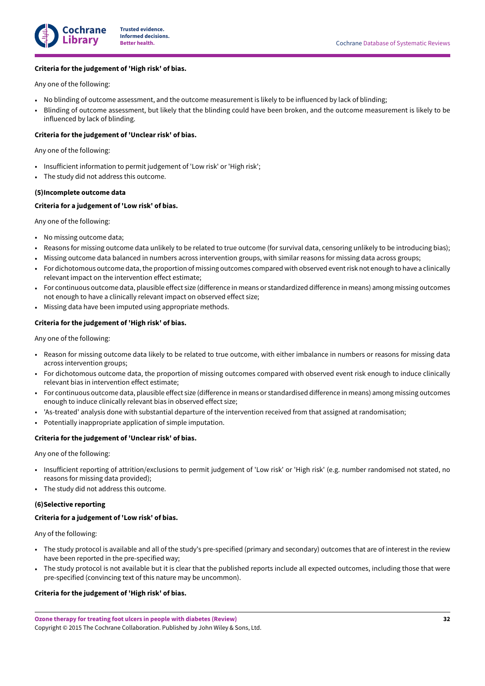![](_page_33_Picture_0.jpeg)

#### **Criteria for the judgement of 'High risk' of bias.**

Any one of the following:

- No blinding of outcome assessment, and the outcome measurement is likely to be influenced by lack of blinding;
- Blinding of outcome assessment, but likely that the blinding could have been broken, and the outcome measurement is likely to be influenced by lack of blinding.

#### **Criteria for the judgement of 'Unclear risk' of bias.**

Any one of the following:

- Insufficient information to permit judgement of 'Low risk' or 'High risk';
- The study did not address this outcome.

#### **(5)Incomplete outcome data**

#### **Criteria for a judgement of 'Low risk' of bias.**

Any one of the following:

- No missing outcome data;
- Reasons for missing outcome data unlikely to be related to true outcome (for survival data, censoring unlikely to be introducing bias);
- Missing outcome data balanced in numbers across intervention groups, with similar reasons for missing data across groups;
- For dichotomous outcome data,the proportion of missing outcomes compared with observed eventrisk not enough to have a clinically relevant impact on the intervention effect estimate;
- For continuous outcome data, plausible effect size (difference in means or standardized difference in means) among missing outcomes not enough to have a clinically relevant impact on observed effect size;
- Missing data have been imputed using appropriate methods.

### **Criteria for the judgement of 'High risk' of bias.**

Any one of the following:

- Reason for missing outcome data likely to be related to true outcome, with either imbalance in numbers or reasons for missing data across intervention groups;
- For dichotomous outcome data, the proportion of missing outcomes compared with observed event risk enough to induce clinically relevant bias in intervention effect estimate;
- For continuous outcome data, plausible effect size (difference in means or standardised difference in means) among missing outcomes enough to induce clinically relevant bias in observed effect size;
- 'As-treated' analysis done with substantial departure of the intervention received from that assigned at randomisation;
- Potentially inappropriate application of simple imputation.

### **Criteria for the judgement of 'Unclear risk' of bias.**

Any one of the following:

- Insufficient reporting of attrition/exclusions to permit judgement of 'Low risk' or 'High risk' (e.g. number randomised not stated, no reasons for missing data provided);
- The study did not address this outcome.

### **(6)Selective reporting**

### **Criteria for a judgement of 'Low risk' of bias.**

Any of the following:

- The study protocol is available and all of the study's pre-specified (primary and secondary) outcomes that are of interest in the review have been reported in the pre-specified way;
- The study protocol is not available but it is clear that the published reports include all expected outcomes, including those that were pre-specified (convincing text of this nature may be uncommon).

### **Criteria for the judgement of 'High risk' of bias.**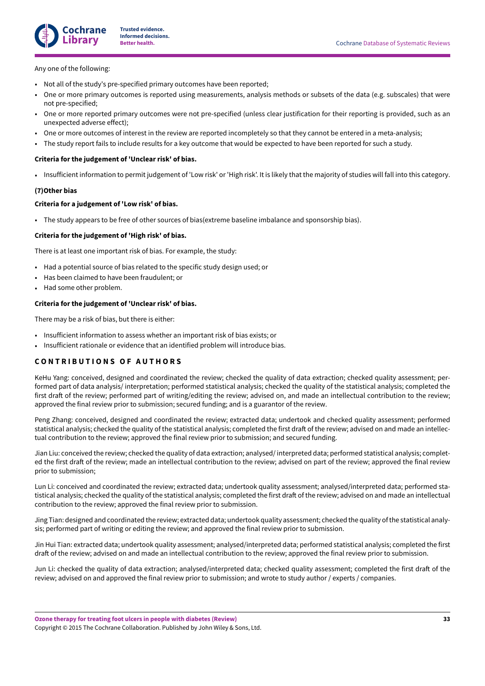**Cochrane Trusted evidence. Informed decisions.**

Any one of the following:

**Library**

- Not all of the study's pre-specified primary outcomes have been reported;
- One or more primary outcomes is reported using measurements, analysis methods or subsets of the data (e.g. subscales) that were not pre-specified;
- One or more reported primary outcomes were not pre-specified (unless clear justification for their reporting is provided, such as an unexpected adverse effect);
- One or more outcomes of interest in the review are reported incompletely so that they cannot be entered in a meta-analysis;
- The study report fails to include results for a key outcome that would be expected to have been reported for such a study.

#### **Criteria for the judgement of 'Unclear risk' of bias.**

• Insufficient information to permit judgement of 'Low risk' or 'High risk'. It is likely that the majority of studies will fall into this category.

#### **(7)Other bias**

### **Criteria for a judgement of 'Low risk' of bias.**

• The study appears to be free of other sources of bias(extreme baseline imbalance and sponsorship bias).

#### **Criteria for the judgement of 'High risk' of bias.**

There is at least one important risk of bias. For example, the study:

- Had a potential source of bias related to the specific study design used; or
- Has been claimed to have been fraudulent; or
- Had some other problem.

#### **Criteria for the judgement of 'Unclear risk' of bias.**

There may be a risk of bias, but there is either:

- Insufficient information to assess whether an important risk of bias exists; or
- Insufficient rationale or evidence that an identified problem will introduce bias.

### <span id="page-34-0"></span>**C O N T R I B U T I O N S O F A U T H O R S**

KeHu Yang: conceived, designed and coordinated the review; checked the quality of data extraction; checked quality assessment; performed part of data analysis/ interpretation; performed statistical analysis; checked the quality of the statistical analysis; completed the first draft of the review; performed part of writing/editing the review; advised on, and made an intellectual contribution to the review; approved the final review prior to submission; secured funding; and is a guarantor of the review.

Peng Zhang: conceived, designed and coordinated the review; extracted data; undertook and checked quality assessment; performed statistical analysis; checked the quality of the statistical analysis; completed the first draft of the review; advised on and made an intellectual contribution to the review; approved the final review prior to submission; and secured funding.

Jian Liu: conceived the review; checked the quality of data extraction; analysed/interpreted data; performed statistical analysis; completed the first draft of the review; made an intellectual contribution to the review; advised on part of the review; approved the final review prior to submission;

Lun Li: conceived and coordinated the review; extracted data; undertook quality assessment; analysed/interpreted data; performed statistical analysis; checked the quality of the statistical analysis; completed the first draft of the review; advised on and made an intellectual contribution to the review; approved the final review prior to submission.

Jing Tian: designed and coordinated the review; extracted data; undertook quality assessment; checked the quality ofthe statistical analysis; performed part of writing or editing the review; and approved the final review prior to submission.

Jin Hui Tian: extracted data; undertook quality assessment; analysed/interpreted data; performed statistical analysis; completed the first draft of the review; advised on and made an intellectual contribution to the review; approved the final review prior to submission.

Jun Li: checked the quality of data extraction; analysed/interpreted data; checked quality assessment; completed the first draft of the review; advised on and approved the final review prior to submission; and wrote to study author / experts / companies.

**Ozone therapy for treating foot ulcers in people with diabetes (Review)** Copyright © 2015 The Cochrane Collaboration. Published by John Wiley & Sons, Ltd.